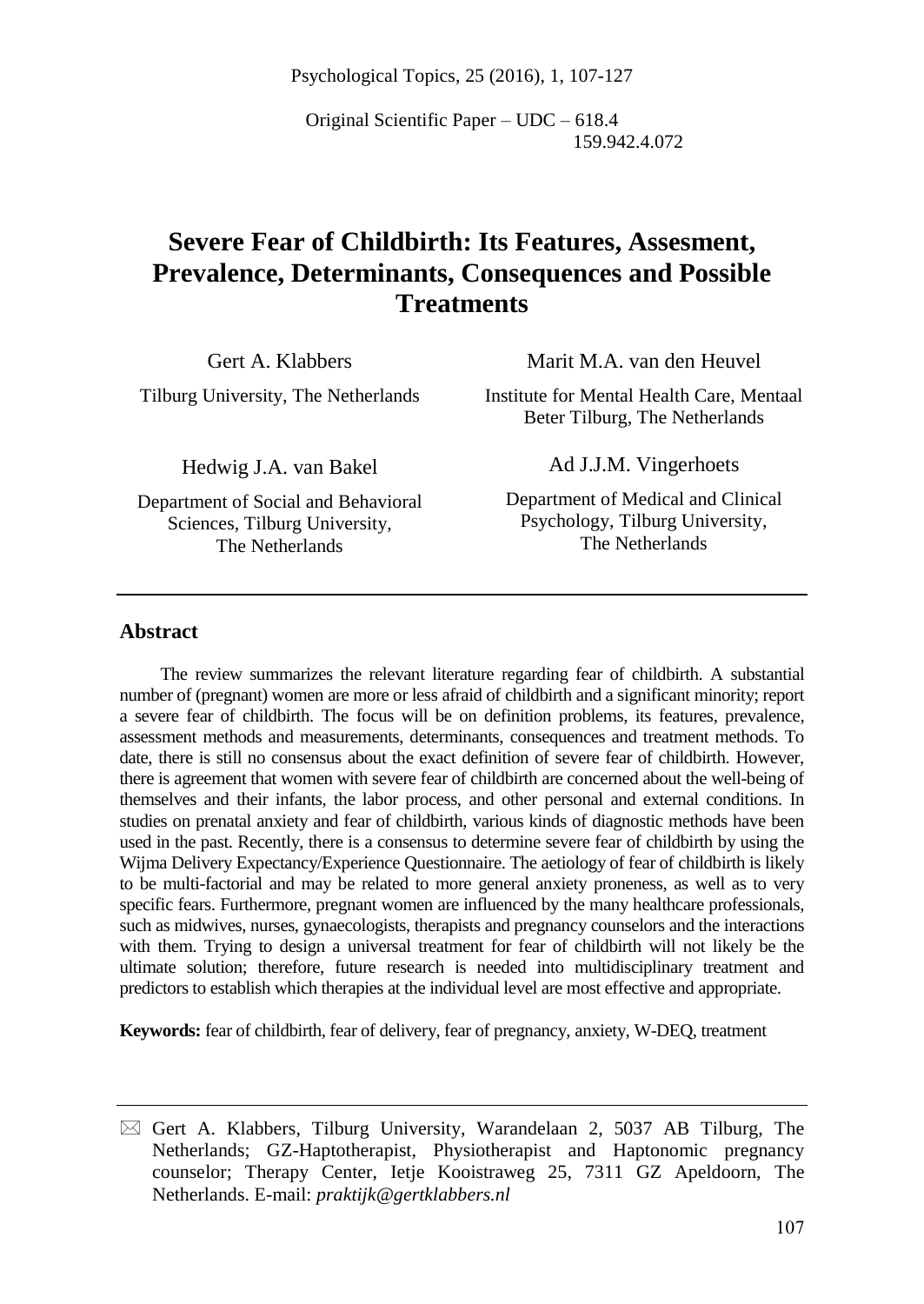Psychological Topics, 25 (2016), 1, 107-127

Original Scientific Paper – UDC – 618.4 159.942.4.072

# **Severe Fear of Childbirth: Its Features, Assesment, Prevalence, Determinants, Consequences and Possible Treatments**

Gert A. Klabbers

Marit M.A. van den Heuvel

Tilburg University, The Netherlands

Institute for Mental Health Care, Mentaal Beter Tilburg, The Netherlands

Hedwig J.A. van Bakel

Department of Social and Behavioral Sciences, Tilburg University, The Netherlands

Ad J.J.M. Vingerhoets

Department of Medical and Clinical Psychology, Tilburg University, The Netherlands

### **Abstract**

The review summarizes the relevant literature regarding fear of childbirth. A substantial number of (pregnant) women are more or less afraid of childbirth and a significant minority; report a severe fear of childbirth. The focus will be on definition problems, its features, prevalence, assessment methods and measurements, determinants, consequences and treatment methods. To date, there is still no consensus about the exact definition of severe fear of childbirth. However, there is agreement that women with severe fear of childbirth are concerned about the well-being of themselves and their infants, the labor process, and other personal and external conditions. In studies on prenatal anxiety and fear of childbirth, various kinds of diagnostic methods have been used in the past. Recently, there is a consensus to determine severe fear of childbirth by using the Wijma Delivery Expectancy/Experience Questionnaire. The aetiology of fear of childbirth is likely to be multi-factorial and may be related to more general anxiety proneness, as well as to very specific fears. Furthermore, pregnant women are influenced by the many healthcare professionals, such as midwives, nurses, gynaecologists, therapists and pregnancy counselors and the interactions with them. Trying to design a universal treatment for fear of childbirth will not likely be the ultimate solution; therefore, future research is needed into multidisciplinary treatment and predictors to establish which therapies at the individual level are most effective and appropriate.

**Keywords:** fear of childbirth, fear of delivery, fear of pregnancy, anxiety, W-DEQ, treatment

 $\boxtimes$  Gert A. Klabbers, Tilburg University, Warandelaan 2, 5037 AB Tilburg, The Netherlands; GZ-Haptotherapist, Physiotherapist and Haptonomic pregnancy counselor; Therapy Center, Ietje Kooistraweg 25, 7311 GZ Apeldoorn, The Netherlands. E-mail: *praktijk@gertklabbers.nl*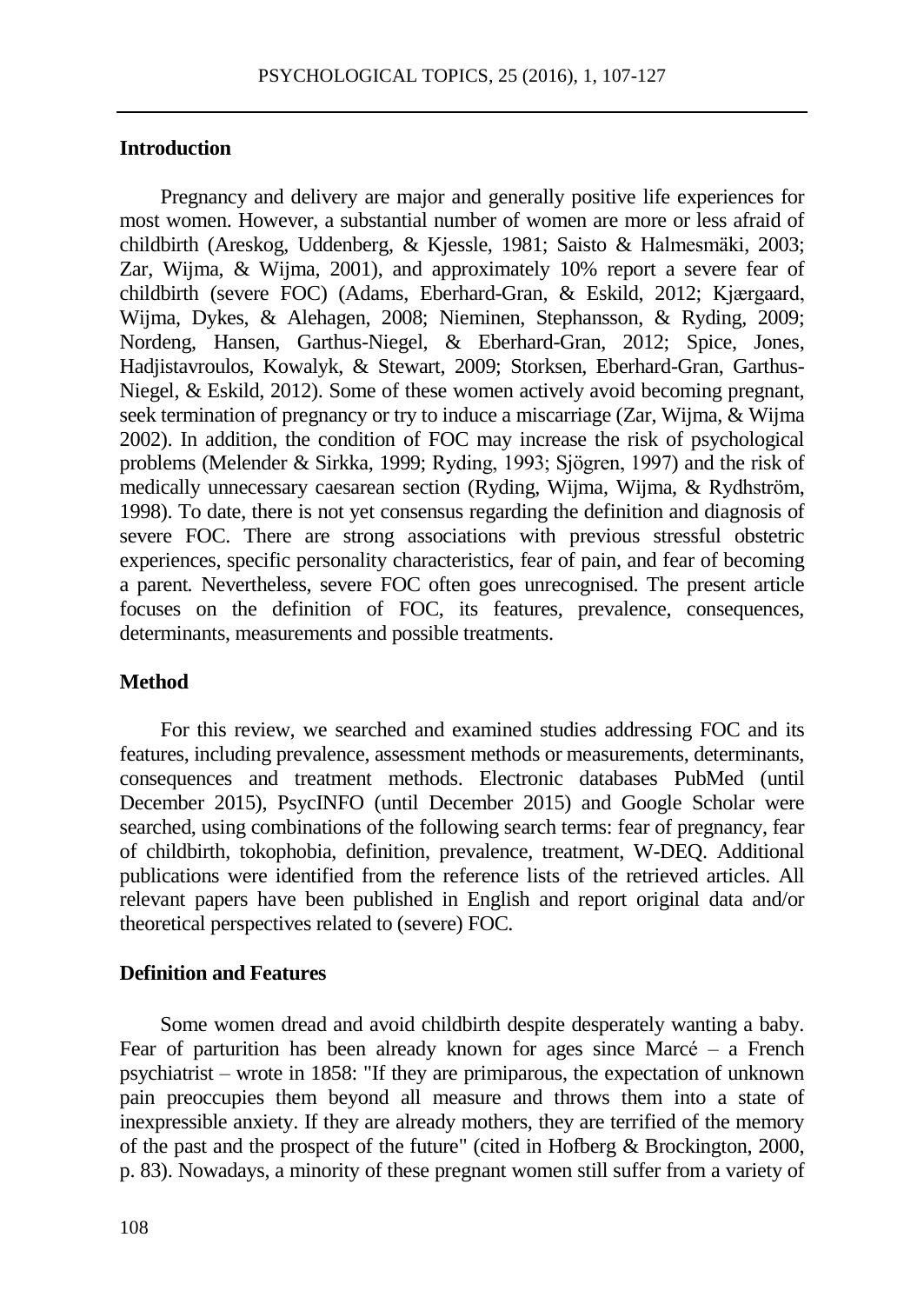### **Introduction**

Pregnancy and delivery are major and generally positive life experiences for most women. However, a substantial number of women are more or less afraid of childbirth (Areskog, Uddenberg, & Kjessle, 1981; Saisto & Halmesmäki, 2003; Zar, Wijma, & Wijma, 2001), and approximately 10% report a severe fear of childbirth (severe FOC) (Adams, Eberhard-Gran, & Eskild, 2012; Kjærgaard, Wijma, Dykes, & Alehagen, 2008; Nieminen, Stephansson, & Ryding, 2009; Nordeng, Hansen, Garthus-Niegel, & Eberhard-Gran, 2012; Spice, Jones, Hadjistavroulos, Kowalyk, & Stewart, 2009; Storksen, Eberhard-Gran, Garthus-Niegel, & Eskild, 2012). Some of these women actively avoid becoming pregnant, seek termination of pregnancy or try to induce a miscarriage (Zar, Wijma, & Wijma 2002). In addition, the condition of FOC may increase the risk of psychological problems (Melender & Sirkka, 1999; Ryding, 1993; Sjögren, 1997) and the risk of medically unnecessary caesarean section (Ryding, Wijma, Wijma, & Rydhström, 1998). To date, there is not yet consensus regarding the definition and diagnosis of severe FOC. There are strong associations with previous stressful obstetric experiences, specific personality characteristics, fear of pain, and fear of becoming a parent*.* Nevertheless, severe FOC often goes unrecognised. The present article focuses on the definition of FOC, its features, prevalence, consequences, determinants, measurements and possible treatments.

#### **Method**

For this review, we searched and examined studies addressing FOC and its features, including prevalence, assessment methods or measurements, determinants, consequences and treatment methods. Electronic databases PubMed (until December 2015), PsycINFO (until December 2015) and Google Scholar were searched, using combinations of the following search terms: fear of pregnancy, fear of childbirth, tokophobia, definition, prevalence, treatment, W-DEQ. Additional publications were identified from the reference lists of the retrieved articles. All relevant papers have been published in English and report original data and/or theoretical perspectives related to (severe) FOC.

#### **Definition and Features**

Some women dread and avoid childbirth despite desperately wanting a baby. Fear of parturition has been already known for ages since Marcé – a French psychiatrist – wrote in 1858: "If they are primiparous, the expectation of unknown pain preoccupies them beyond all measure and throws them into a state of inexpressible anxiety. If they are already mothers, they are terrified of the memory of the past and the prospect of the future" (cited in Hofberg & Brockington, 2000, p. 83). Nowadays, a minority of these pregnant women still suffer from a variety of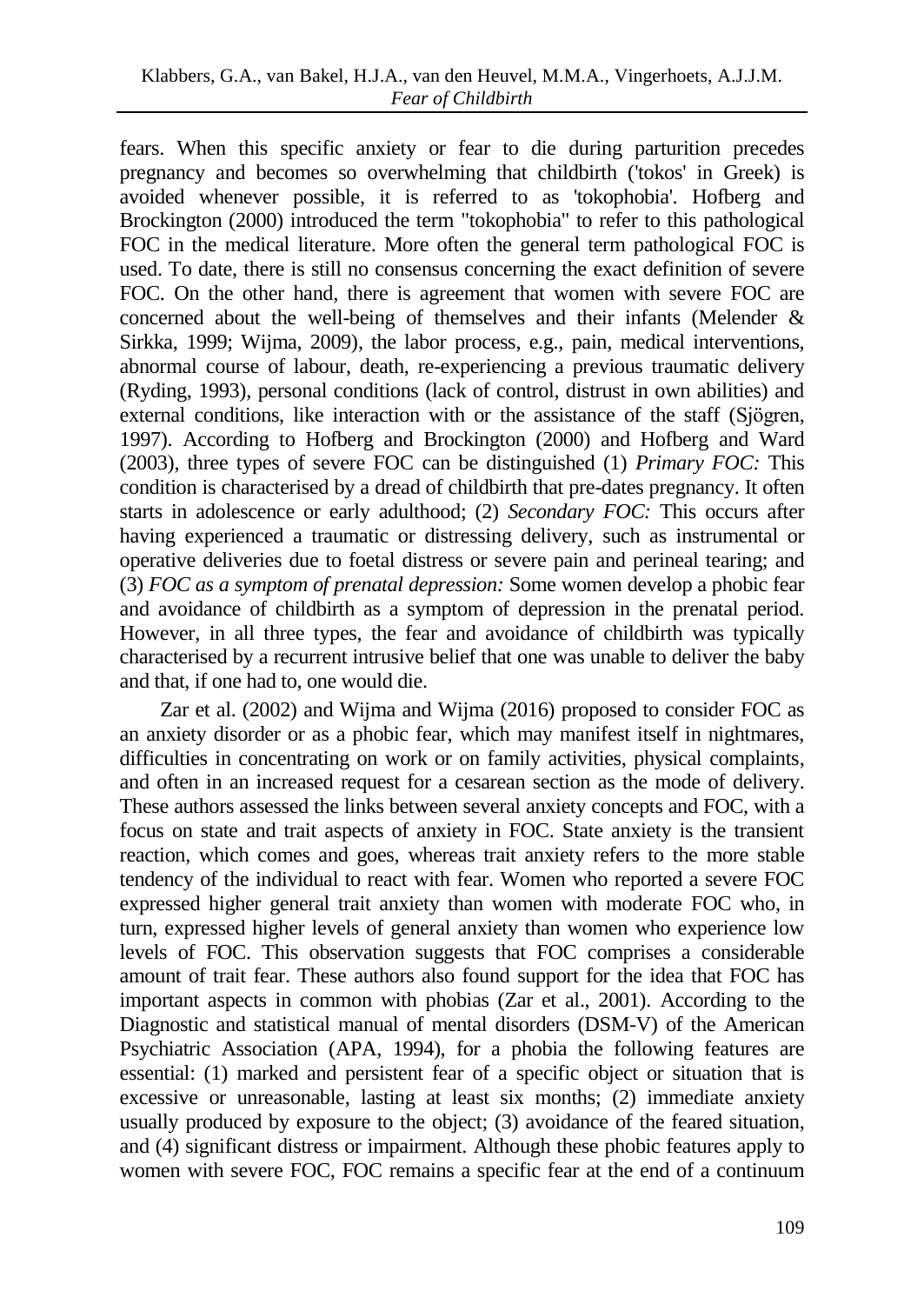fears. When this specific anxiety or fear to die during parturition precedes pregnancy and becomes so overwhelming that childbirth ('tokos' in Greek) is avoided whenever possible, it is referred to as 'tokophobia'. Hofberg and Brockington (2000) introduced the term "tokophobia" to refer to this pathological FOC in the medical literature. More often the general term pathological FOC is used. To date, there is still no consensus concerning the exact definition of severe FOC. On the other hand, there is agreement that women with severe FOC are concerned about the well-being of themselves and their infants (Melender & Sirkka, 1999; Wijma, 2009), the labor process, e.g., pain, medical interventions, abnormal course of labour, death, re-experiencing a previous traumatic delivery (Ryding, 1993), personal conditions (lack of control, distrust in own abilities) and external conditions, like interaction with or the assistance of the staff (Sjögren, 1997). According to Hofberg and Brockington (2000) and Hofberg and Ward (2003), three types of severe FOC can be distinguished (1) *Primary FOC:* This condition is characterised by a dread of childbirth that pre-dates pregnancy. It often starts in adolescence or early adulthood; (2) *Secondary FOC:* This occurs after having experienced a traumatic or distressing delivery, such as instrumental or operative deliveries due to foetal distress or severe pain and perineal tearing; and (3) *FOC as a symptom of prenatal depression:* Some women develop a phobic fear and avoidance of childbirth as a symptom of depression in the prenatal period. However, in all three types, the fear and avoidance of childbirth was typically characterised by a recurrent intrusive belief that one was unable to deliver the baby and that, if one had to, one would die.

Zar et al. (2002) and Wijma and Wijma (2016) proposed to consider FOC as an anxiety disorder or as a phobic fear, which may manifest itself in nightmares, difficulties in concentrating on work or on family activities, physical complaints, and often in an increased request for a cesarean section as the mode of delivery. These authors assessed the links between several anxiety concepts and FOC, with a focus on state and trait aspects of anxiety in FOC. State anxiety is the transient reaction, which comes and goes, whereas trait anxiety refers to the more stable tendency of the individual to react with fear. Women who reported a severe FOC expressed higher general trait anxiety than women with moderate FOC who, in turn, expressed higher levels of general anxiety than women who experience low levels of FOC. This observation suggests that FOC comprises a considerable amount of trait fear. These authors also found support for the idea that FOC has important aspects in common with phobias (Zar et al., 2001). According to the Diagnostic and statistical manual of mental disorders (DSM-V) of the American Psychiatric Association (APA, 1994), for a phobia the following features are essential: (1) marked and persistent fear of a specific object or situation that is excessive or unreasonable, lasting at least six months; (2) immediate anxiety usually produced by exposure to the object; (3) avoidance of the feared situation, and (4) significant distress or impairment. Although these phobic features apply to women with severe FOC, FOC remains a specific fear at the end of a continuum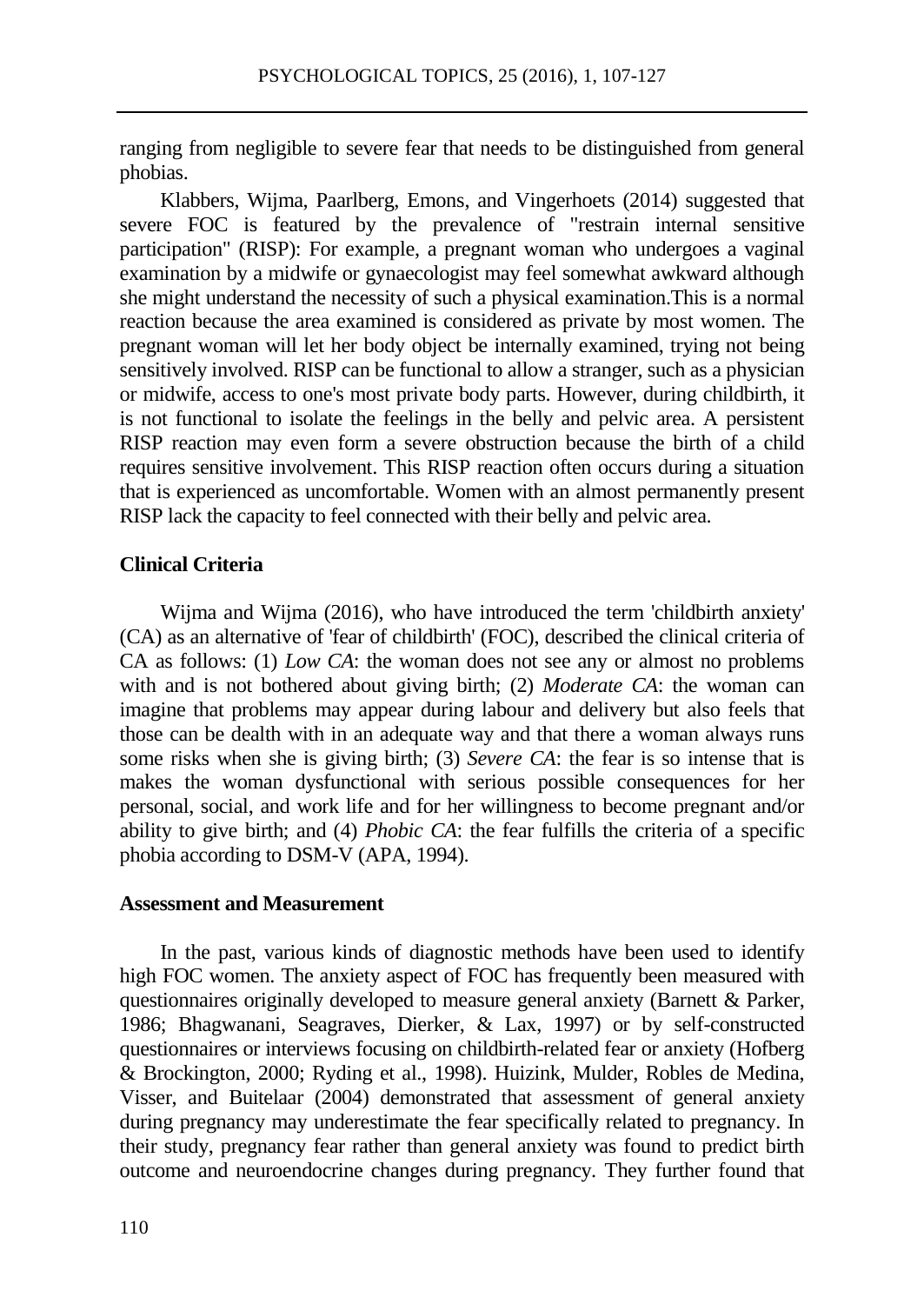ranging from negligible to severe fear that needs to be distinguished from general phobias.

Klabbers, Wijma, Paarlberg, Emons, and Vingerhoets (2014) suggested that severe FOC is featured by the prevalence of "restrain internal sensitive participation" (RISP): For example, a pregnant woman who undergoes a vaginal examination by a midwife or gynaecologist may feel somewhat awkward although she might understand the necessity of such a physical examination.This is a normal reaction because the area examined is considered as private by most women. The pregnant woman will let her body object be internally examined, trying not being sensitively involved. RISP can be functional to allow a stranger, such as a physician or midwife, access to one's most private body parts. However, during childbirth, it is not functional to isolate the feelings in the belly and pelvic area. A persistent RISP reaction may even form a severe obstruction because the birth of a child requires sensitive involvement. This RISP reaction often occurs during a situation that is experienced as uncomfortable. Women with an almost permanently present RISP lack the capacity to feel connected with their belly and pelvic area.

### **Clinical Criteria**

Wijma and Wijma (2016), who have introduced the term 'childbirth anxiety' (CA) as an alternative of 'fear of childbirth' (FOC), described the clinical criteria of CA as follows: (1) *Low CA*: the woman does not see any or almost no problems with and is not bothered about giving birth; (2) *Moderate CA*: the woman can imagine that problems may appear during labour and delivery but also feels that those can be dealth with in an adequate way and that there a woman always runs some risks when she is giving birth; (3) *Severe CA*: the fear is so intense that is makes the woman dysfunctional with serious possible consequences for her personal, social, and work life and for her willingness to become pregnant and/or ability to give birth; and (4) *Phobic CA*: the fear fulfills the criteria of a specific phobia according to DSM-V (APA, 1994).

#### **Assessment and Measurement**

In the past, various kinds of diagnostic methods have been used to identify high FOC women. The anxiety aspect of FOC has frequently been measured with questionnaires originally developed to measure general anxiety (Barnett & Parker, 1986; Bhagwanani, Seagraves, Dierker, & Lax, 1997) or by self-constructed questionnaires or interviews focusing on childbirth-related fear or anxiety (Hofberg & Brockington, 2000; Ryding et al., 1998). Huizink, Mulder, Robles de Medina, Visser, and Buitelaar (2004) demonstrated that assessment of general anxiety during pregnancy may underestimate the fear specifically related to pregnancy. In their study, pregnancy fear rather than general anxiety was found to predict birth outcome and neuroendocrine changes during pregnancy. They further found that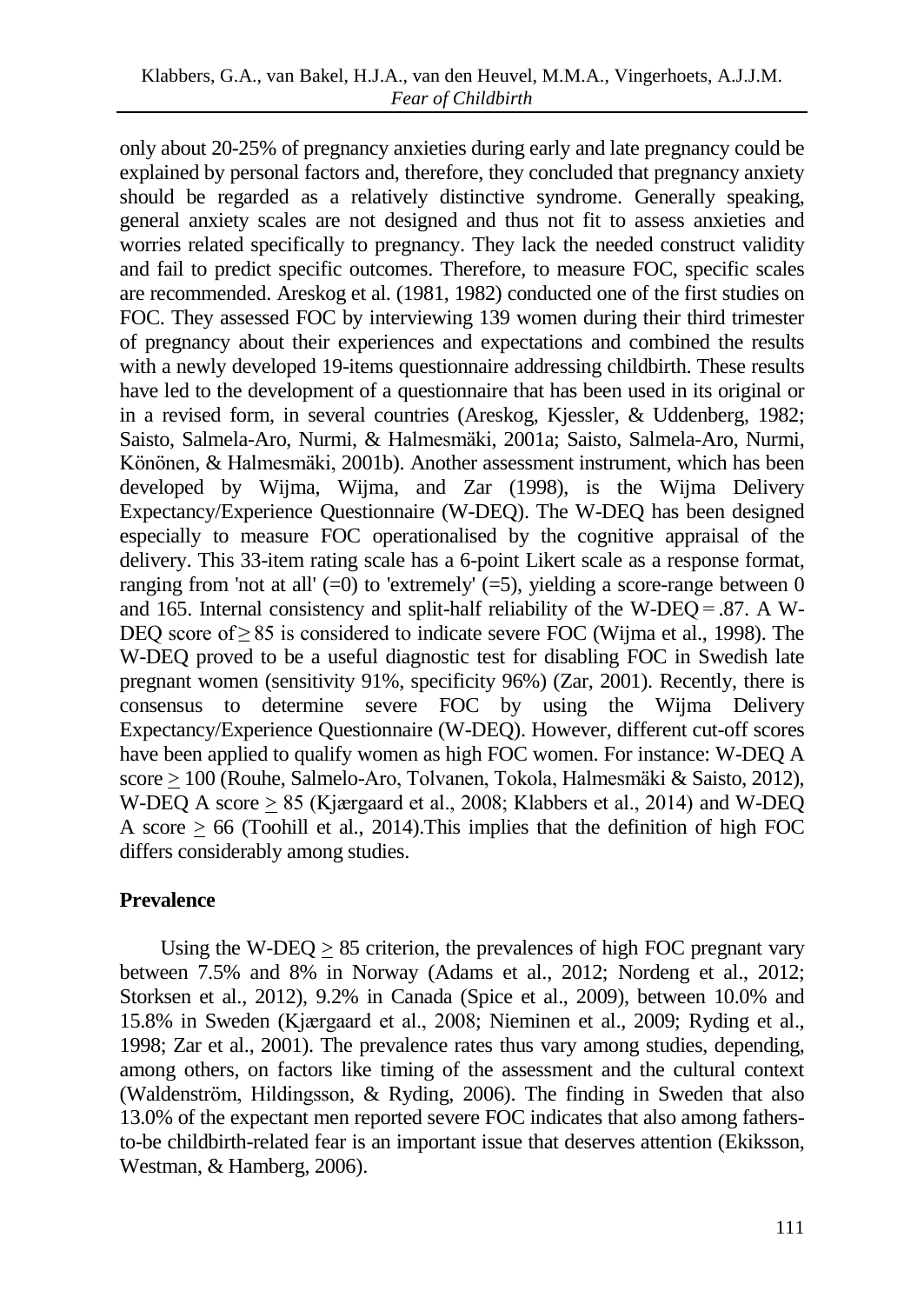only about 20-25% of pregnancy anxieties during early and late pregnancy could be explained by personal factors and, therefore, they concluded that pregnancy anxiety should be regarded as a relatively distinctive syndrome. Generally speaking, general anxiety scales are not designed and thus not fit to assess anxieties and worries related specifically to pregnancy. They lack the needed construct validity and fail to predict specific outcomes. Therefore, to measure FOC, specific scales are recommended. Areskog et al. (1981, 1982) conducted one of the first studies on FOC. They assessed FOC by interviewing 139 women during their third trimester of pregnancy about their experiences and expectations and combined the results with a newly developed 19-items questionnaire addressing childbirth. These results have led to the development of a questionnaire that has been used in its original or in a revised form, in several countries (Areskog, Kjessler, & Uddenberg, 1982; Saisto, Salmela-Aro, Nurmi, & Halmesmäki, 2001a; Saisto, Salmela-Aro, Nurmi, Könönen, & Halmesmäki, 2001b). Another assessment instrument, which has been developed by Wijma, Wijma, and Zar (1998), is the Wijma Delivery Expectancy/Experience Questionnaire (W-DEQ). The W-DEQ has been designed especially to measure FOC operationalised by the cognitive appraisal of the delivery. This 33-item rating scale has a 6-point Likert scale as a response format, ranging from 'not at all'  $(=0)$  to 'extremely'  $(=5)$ , yielding a score-range between 0 and 165. Internal consistency and split-half reliability of the W-DEQ = .87. A W-DEQ score of ≥ 85 is considered to indicate severe FOC (Wijma et al., 1998). The W-DEQ proved to be a useful diagnostic test for disabling FOC in Swedish late pregnant women (sensitivity 91%, specificity 96%) (Zar, 2001). Recently, there is consensus to determine severe FOC by using the Wijma Delivery Expectancy/Experience Questionnaire (W-DEQ). However, different cut-off scores have been applied to qualify women as high FOC women. For instance: W-DEQ A score > 100 (Rouhe, Salmelo-Aro, Tolvanen, Tokola, Halmesmäki & Saisto, 2012), W-DEQ A score > 85 (Kjærgaard et al., 2008; Klabbers et al., 2014) and W-DEQ A score  $> 66$  (Toohill et al., 2014). This implies that the definition of high FOC differs considerably among studies.

# **Prevalence**

Using the W-DEQ  $\geq$  85 criterion, the prevalences of high FOC pregnant vary between 7.5% and 8% in Norway (Adams et al., 2012; Nordeng et al., 2012; Storksen et al., 2012), 9.2% in Canada (Spice et al., 2009), between 10.0% and 15.8% in Sweden (Kjærgaard et al., 2008; Nieminen et al., 2009; Ryding et al., 1998; Zar et al., 2001). The prevalence rates thus vary among studies, depending, among others, on factors like timing of the assessment and the cultural context (Waldenström, Hildingsson, & Ryding, 2006). The finding in Sweden that also 13.0% of the expectant men reported severe FOC indicates that also among fathersto-be childbirth-related fear is an important issue that deserves attention (Ekiksson, Westman, & Hamberg, 2006).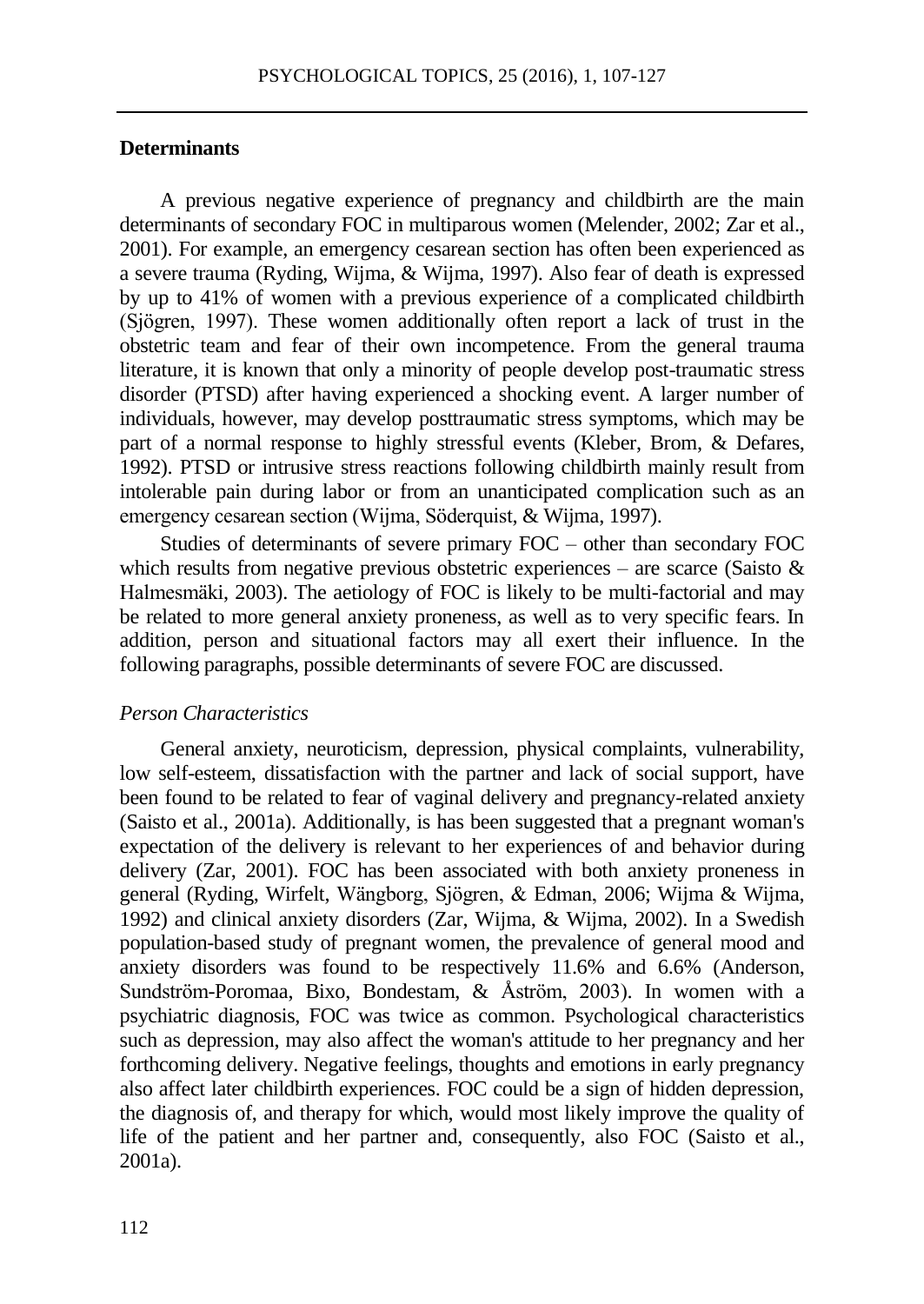### **Determinants**

A previous negative experience of pregnancy and childbirth are the main determinants of secondary FOC in multiparous women (Melender, 2002; Zar et al., 2001). For example, an emergency cesarean section has often been experienced as a severe trauma (Ryding, Wijma, & Wijma, 1997). Also fear of death is expressed by up to 41% of women with a previous experience of a complicated childbirth (Sjögren, 1997). These women additionally often report a lack of trust in the obstetric team and fear of their own incompetence. From the general trauma literature, it is known that only a minority of people develop post-traumatic stress disorder (PTSD) after having experienced a shocking event. A larger number of individuals, however, may develop posttraumatic stress symptoms, which may be part of a normal response to highly stressful events (Kleber, Brom, & Defares, 1992). PTSD or intrusive stress reactions following childbirth mainly result from intolerable pain during labor or from an unanticipated complication such as an emergency cesarean section (Wijma, Söderquist, & Wijma, 1997).

Studies of determinants of severe primary FOC – other than secondary FOC which results from negative previous obstetric experiences – are scarce (Saisto  $\&$ Halmesmäki, 2003). The aetiology of FOC is likely to be multi-factorial and may be related to more general anxiety proneness, as well as to very specific fears. In addition, person and situational factors may all exert their influence. In the following paragraphs, possible determinants of severe FOC are discussed.

#### *Person Characteristics*

General anxiety, neuroticism, depression, physical complaints, vulnerability, low self-esteem, dissatisfaction with the partner and lack of social support, have been found to be related to fear of vaginal delivery and pregnancy-related anxiety (Saisto et al., 2001a). Additionally, is has been suggested that a pregnant woman's expectation of the delivery is relevant to her experiences of and behavior during delivery (Zar, 2001). FOC has been associated with both anxiety proneness in general (Ryding, Wirfelt, Wängborg, Sjögren, & Edman, 2006; Wijma & Wijma, 1992) and clinical anxiety disorders (Zar, Wijma, & Wijma, 2002). In a Swedish population-based study of pregnant women, the prevalence of general mood and anxiety disorders was found to be respectively 11.6% and 6.6% (Anderson, Sundström-Poromaa, Bixo, Bondestam, & Åström, 2003). In women with a psychiatric diagnosis, FOC was twice as common. Psychological characteristics such as depression, may also affect the woman's attitude to her pregnancy and her forthcoming delivery. Negative feelings, thoughts and emotions in early pregnancy also affect later childbirth experiences. FOC could be a sign of hidden depression, the diagnosis of, and therapy for which, would most likely improve the quality of life of the patient and her partner and, consequently, also FOC (Saisto et al., 2001a).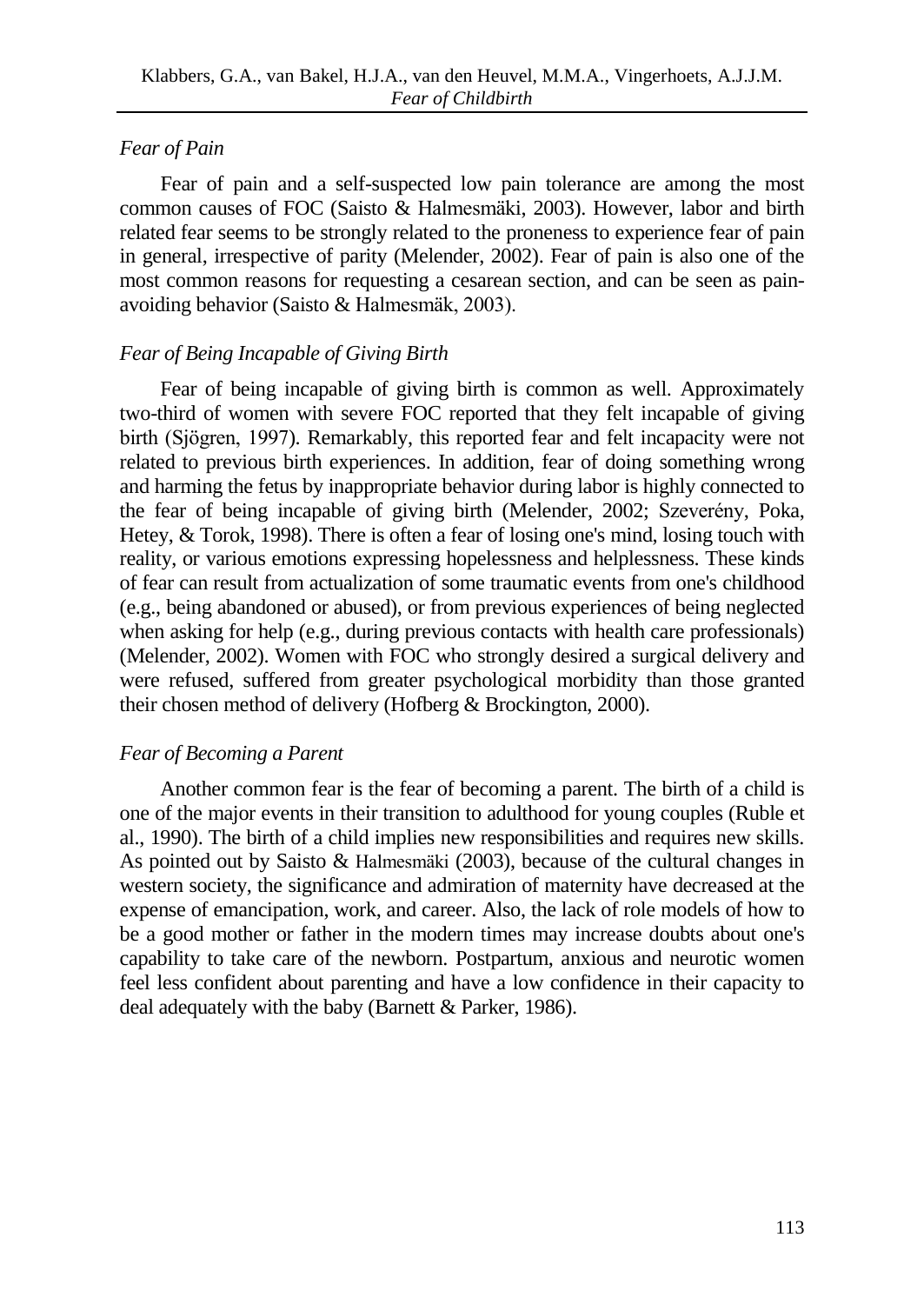## *Fear of Pain*

Fear of pain and a self-suspected low pain tolerance are among the most common causes of FOC (Saisto & Halmesmäki, 2003). However, labor and birth related fear seems to be strongly related to the proneness to experience fear of pain in general, irrespective of parity (Melender, 2002). Fear of pain is also one of the most common reasons for requesting a cesarean section, and can be seen as painavoiding behavior (Saisto & Halmesmäk, 2003).

### *Fear of Being Incapable of Giving Birth*

Fear of being incapable of giving birth is common as well. Approximately two-third of women with severe FOC reported that they felt incapable of giving birth (Sjögren, 1997). Remarkably, this reported fear and felt incapacity were not related to previous birth experiences. In addition, fear of doing something wrong and harming the fetus by inappropriate behavior during labor is highly connected to the fear of being incapable of giving birth (Melender, 2002; Szeverény, Poka, Hetey, & Torok, 1998). There is often a fear of losing one's mind, losing touch with reality, or various emotions expressing hopelessness and helplessness. These kinds of fear can result from actualization of some traumatic events from one's childhood (e.g., being abandoned or abused), or from previous experiences of being neglected when asking for help (e.g., during previous contacts with health care professionals) (Melender, 2002). Women with FOC who strongly desired a surgical delivery and were refused, suffered from greater psychological morbidity than those granted their chosen method of delivery (Hofberg & Brockington, 2000).

# *Fear of Becoming a Parent*

Another common fear is the fear of becoming a parent. The birth of a child is one of the major events in their transition to adulthood for young couples (Ruble et al., 1990). The birth of a child implies new responsibilities and requires new skills. As pointed out by Saisto & Halmesmäki (2003), because of the cultural changes in western society, the significance and admiration of maternity have decreased at the expense of emancipation, work, and career. Also, the lack of role models of how to be a good mother or father in the modern times may increase doubts about one's capability to take care of the newborn. Postpartum, anxious and neurotic women feel less confident about parenting and have a low confidence in their capacity to deal adequately with the baby (Barnett & Parker, 1986).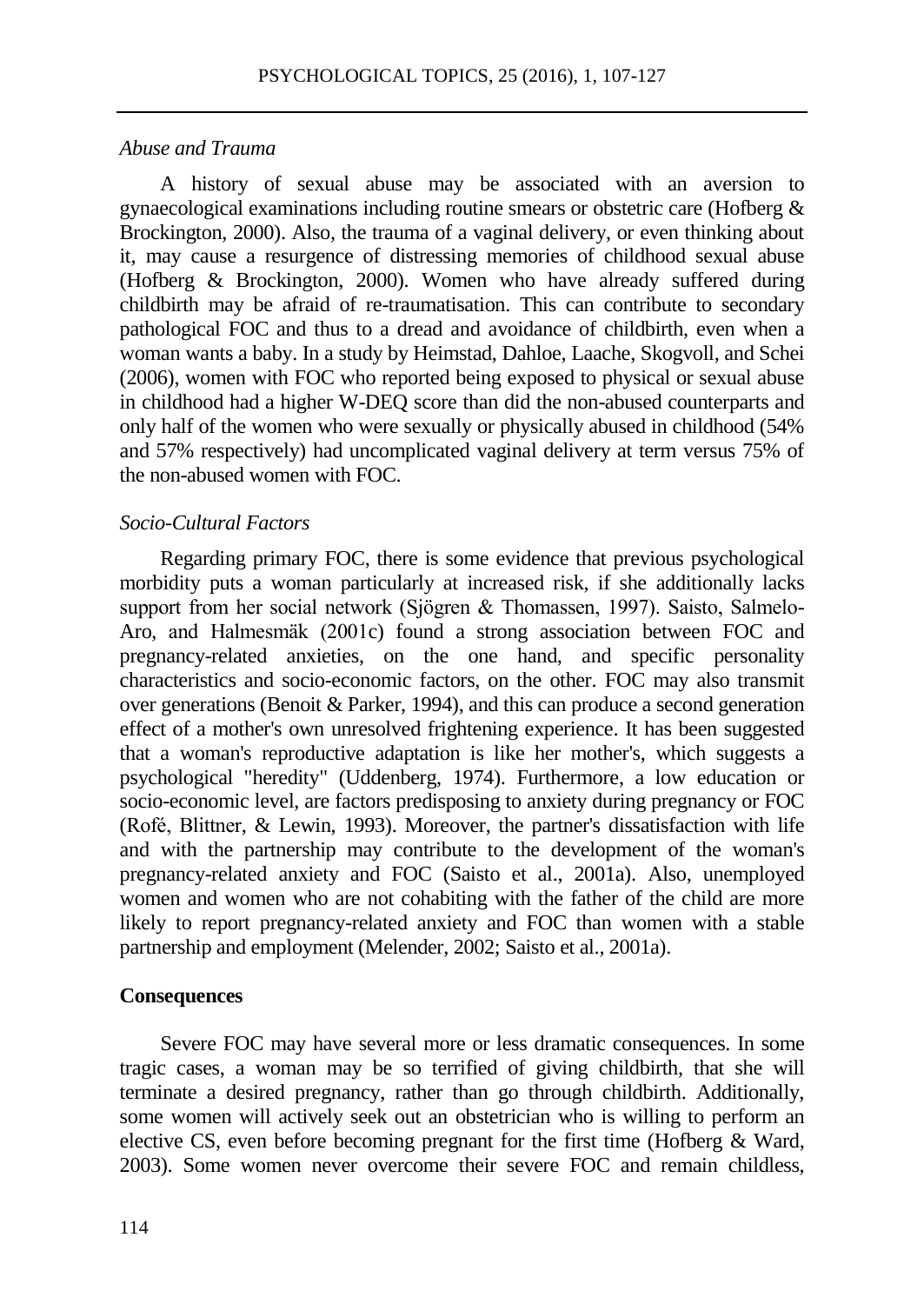#### *Abuse and Trauma*

A history of sexual abuse may be associated with an aversion to gynaecological examinations including routine smears or obstetric care (Hofberg & Brockington, 2000). Also, the trauma of a vaginal delivery, or even thinking about it, may cause a resurgence of distressing memories of childhood sexual abuse (Hofberg & Brockington, 2000). Women who have already suffered during childbirth may be afraid of re-traumatisation. This can contribute to secondary pathological FOC and thus to a dread and avoidance of childbirth, even when a woman wants a baby. In a study by Heimstad, Dahloe, Laache, Skogvoll, and Schei (2006), women with FOC who reported being exposed to physical or sexual abuse in childhood had a higher W-DEQ score than did the non-abused counterparts and only half of the women who were sexually or physically abused in childhood (54% and 57% respectively) had uncomplicated vaginal delivery at term versus 75% of the non-abused women with FOC.

#### *Socio-Cultural Factors*

Regarding primary FOC, there is some evidence that previous psychological morbidity puts a woman particularly at increased risk, if she additionally lacks support from her social network (Sjögren & Thomassen, 1997). Saisto, Salmelo-Aro, and Halmesmäk (2001c) found a strong association between FOC and pregnancy-related anxieties, on the one hand, and specific personality characteristics and socio-economic factors, on the other. FOC may also transmit over generations (Benoit & Parker, 1994), and this can produce a second generation effect of a mother's own unresolved frightening experience. It has been suggested that a woman's reproductive adaptation is like her mother's, which suggests a psychological "heredity" (Uddenberg, 1974). Furthermore, a low education or socio-economic level, are factors predisposing to anxiety during pregnancy or FOC (Rofé, Blittner, & Lewin, 1993). Moreover, the partner's dissatisfaction with life and with the partnership may contribute to the development of the woman's pregnancy-related anxiety and FOC (Saisto et al., 2001a). Also, unemployed women and women who are not cohabiting with the father of the child are more likely to report pregnancy-related anxiety and FOC than women with a stable partnership and employment (Melender, 2002; Saisto et al., 2001a).

#### **Consequences**

Severe FOC may have several more or less dramatic consequences. In some tragic cases, a woman may be so terrified of giving childbirth, that she will terminate a desired pregnancy, rather than go through childbirth. Additionally, some women will actively seek out an obstetrician who is willing to perform an elective CS, even before becoming pregnant for the first time (Hofberg & Ward, 2003). Some women never overcome their severe FOC and remain childless,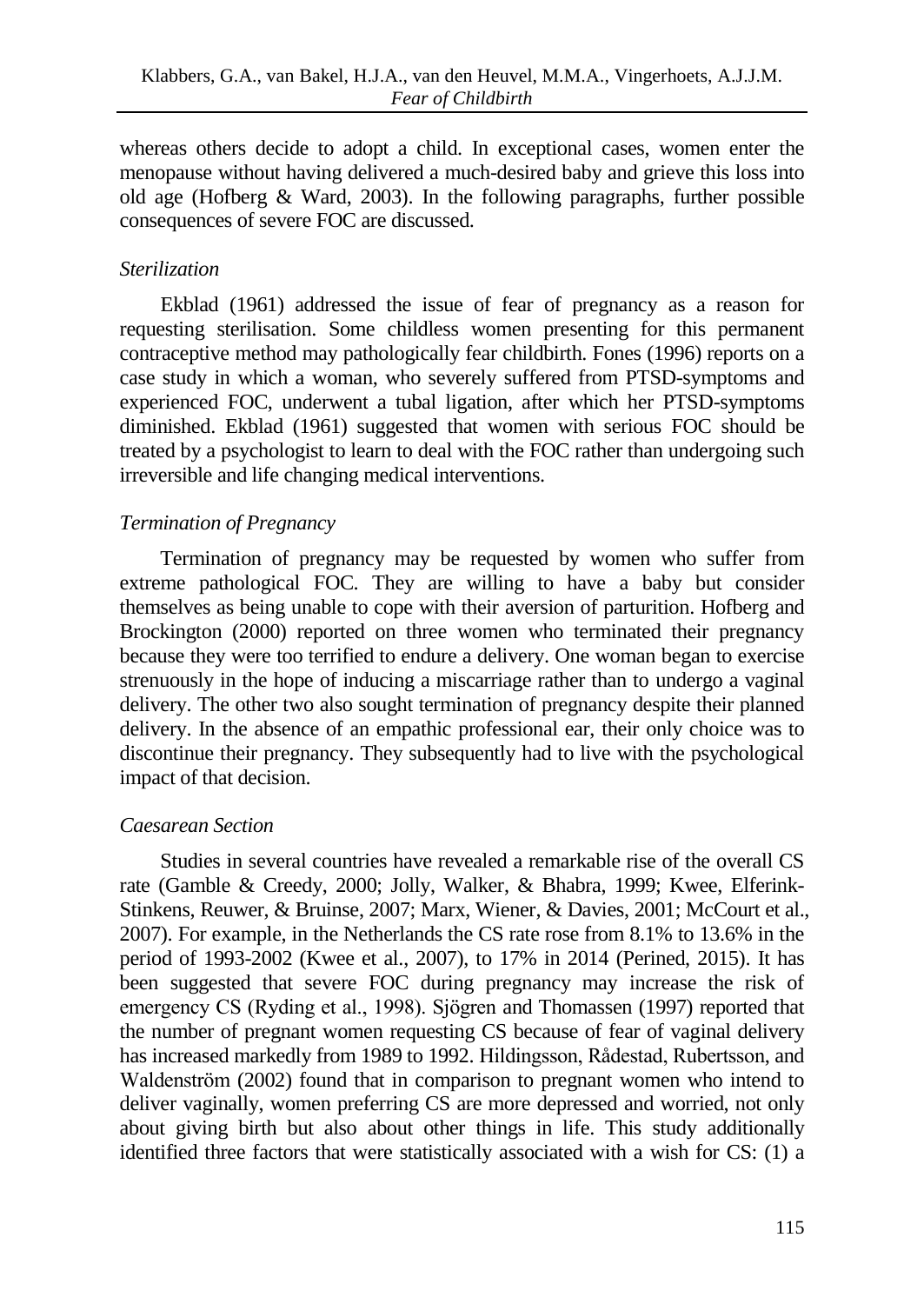whereas others decide to adopt a child. In exceptional cases, women enter the menopause without having delivered a much-desired baby and grieve this loss into old age (Hofberg  $\&$  Ward, 2003). In the following paragraphs, further possible consequences of severe FOC are discussed.

# *Sterilization*

Ekblad (1961) addressed the issue of fear of pregnancy as a reason for requesting sterilisation. Some childless women presenting for this permanent contraceptive method may pathologically fear childbirth. Fones (1996) reports on a case study in which a woman, who severely suffered from PTSD-symptoms and experienced FOC, underwent a tubal ligation, after which her PTSD-symptoms diminished. Ekblad (1961) suggested that women with serious FOC should be treated by a psychologist to learn to deal with the FOC rather than undergoing such irreversible and life changing medical interventions.

# *Termination of Pregnancy*

Termination of pregnancy may be requested by women who suffer from extreme pathological FOC. They are willing to have a baby but consider themselves as being unable to cope with their aversion of parturition. Hofberg and Brockington (2000) reported on three women who terminated their pregnancy because they were too terrified to endure a delivery. One woman began to exercise strenuously in the hope of inducing a miscarriage rather than to undergo a vaginal delivery. The other two also sought termination of pregnancy despite their planned delivery. In the absence of an empathic professional ear, their only choice was to discontinue their pregnancy. They subsequently had to live with the psychological impact of that decision.

# *Caesarean Section*

Studies in several countries have revealed a remarkable rise of the overall CS rate (Gamble & Creedy, 2000; Jolly, Walker, & Bhabra, 1999; Kwee, Elferink-Stinkens, Reuwer, & Bruinse, 2007; Marx, Wiener, & Davies, 2001; McCourt et al., 2007). For example, in the Netherlands the CS rate rose from 8.1% to 13.6% in the period of 1993-2002 (Kwee et al., 2007), to 17% in 2014 (Perined, 2015). It has been suggested that severe FOC during pregnancy may increase the risk of emergency CS (Ryding et al., 1998). Sjögren and Thomassen (1997) reported that the number of pregnant women requesting CS because of fear of vaginal delivery has increased markedly from 1989 to 1992. Hildingsson, Rådestad, Rubertsson, and Waldenström (2002) found that in comparison to pregnant women who intend to deliver vaginally, women preferring CS are more depressed and worried, not only about giving birth but also about other things in life. This study additionally identified three factors that were statistically associated with a wish for CS: (1) a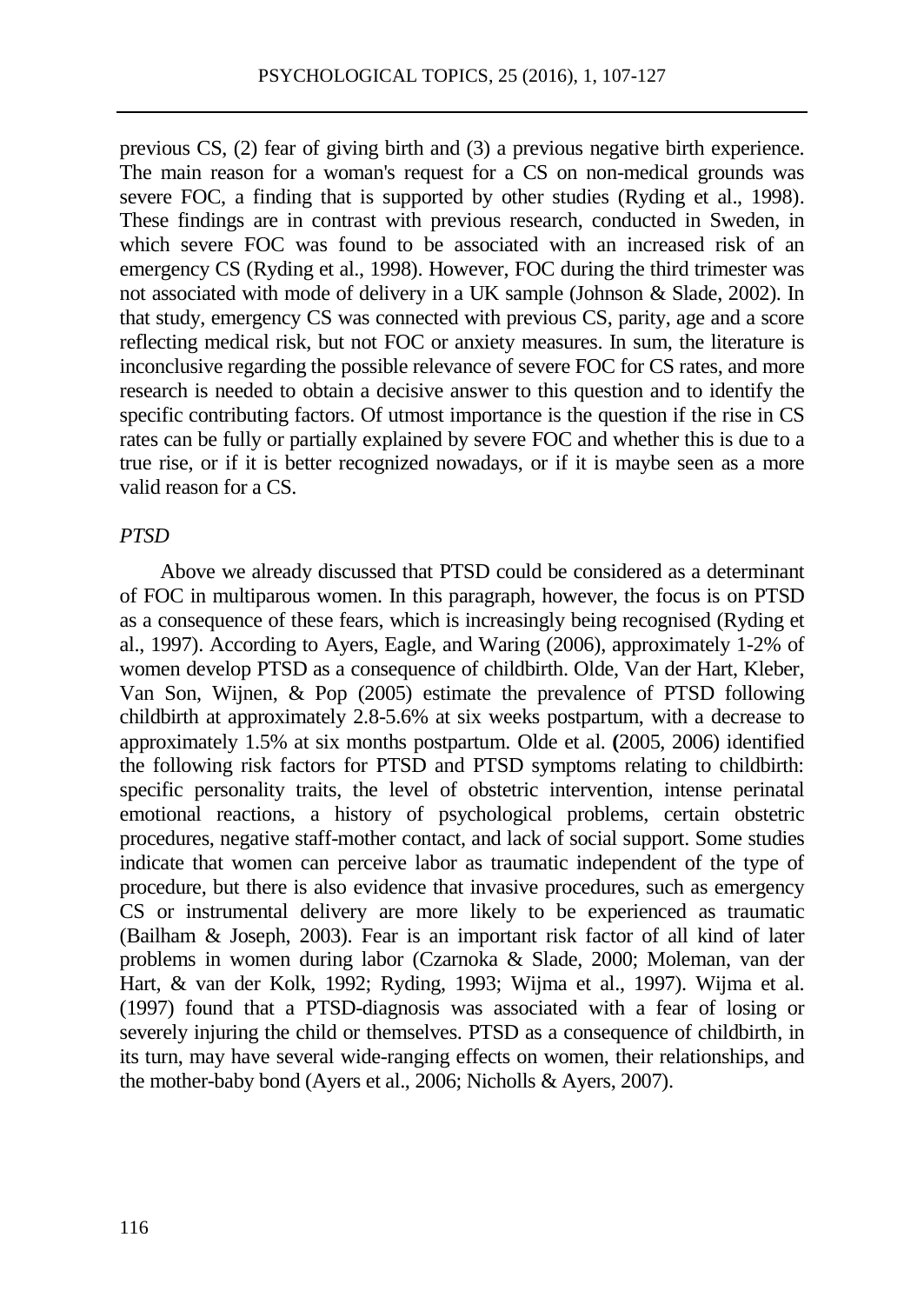previous CS, (2) fear of giving birth and (3) a previous negative birth experience. The main reason for a woman's request for a CS on non-medical grounds was severe FOC, a finding that is supported by other studies (Ryding et al., 1998). These findings are in contrast with previous research, conducted in Sweden, in which severe FOC was found to be associated with an increased risk of an emergency CS (Ryding et al., 1998). However, FOC during the third trimester was not associated with mode of delivery in a UK sample (Johnson & Slade, 2002). In that study, emergency CS was connected with previous CS, parity, age and a score reflecting medical risk, but not FOC or anxiety measures. In sum, the literature is inconclusive regarding the possible relevance of severe FOC for CS rates, and more research is needed to obtain a decisive answer to this question and to identify the specific contributing factors. Of utmost importance is the question if the rise in CS rates can be fully or partially explained by severe FOC and whether this is due to a true rise, or if it is better recognized nowadays, or if it is maybe seen as a more valid reason for a CS.

### *PTSD*

Above we already discussed that PTSD could be considered as a determinant of FOC in multiparous women. In this paragraph, however, the focus is on PTSD as a consequence of these fears, which is increasingly being recognised (Ryding et al., 1997). According to Ayers, Eagle, and Waring (2006), approximately 1-2% of women develop PTSD as a consequence of childbirth. Olde, Van der Hart, Kleber, Van Son, Wijnen, & Pop (2005) estimate the prevalence of PTSD following childbirth at approximately 2.8-5.6% at six weeks postpartum, with a decrease to approximately 1.5% at six months postpartum. Olde et al. **(**2005, 2006) identified the following risk factors for PTSD and PTSD symptoms relating to childbirth: specific personality traits, the level of obstetric intervention, intense perinatal emotional reactions, a history of psychological problems, certain obstetric procedures, negative staff-mother contact, and lack of social support. Some studies indicate that women can perceive labor as traumatic independent of the type of procedure, but there is also evidence that invasive procedures, such as emergency CS or instrumental delivery are more likely to be experienced as traumatic (Bailham & Joseph, 2003). Fear is an important risk factor of all kind of later problems in women during labor (Czarnoka & Slade, 2000; Moleman, van der Hart, & van der Kolk, 1992; Ryding, 1993; Wijma et al., 1997). Wijma et al. (1997) found that a PTSD-diagnosis was associated with a fear of losing or severely injuring the child or themselves. PTSD as a consequence of childbirth, in its turn, may have several wide-ranging effects on women, their relationships, and the mother-baby bond (Ayers et al., 2006; Nicholls & Ayers, 2007).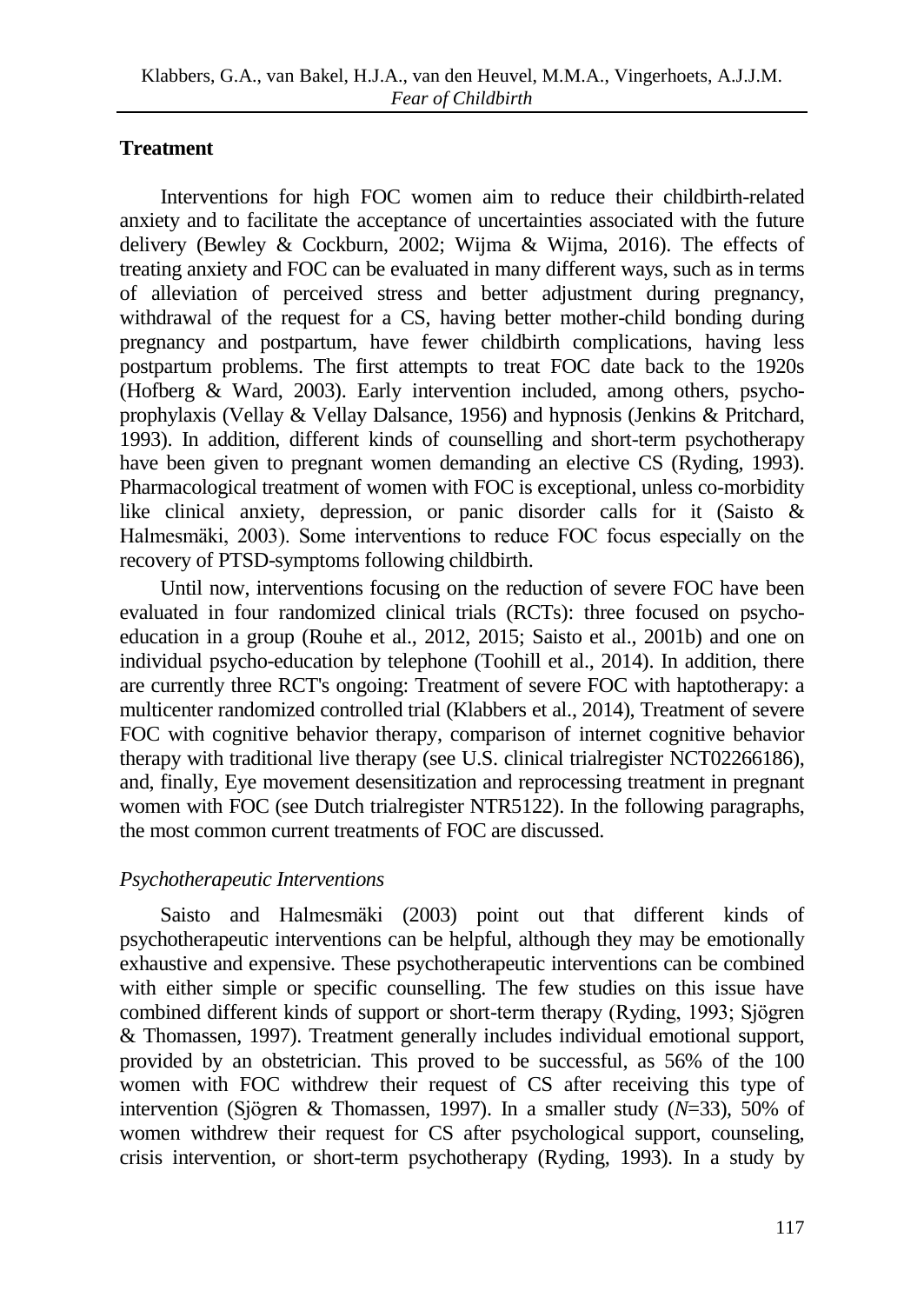# **Treatment**

Interventions for high FOC women aim to reduce their childbirth-related anxiety and to facilitate the acceptance of uncertainties associated with the future delivery (Bewley & Cockburn, 2002; Wijma & Wijma, 2016). The effects of treating anxiety and FOC can be evaluated in many different ways, such as in terms of alleviation of perceived stress and better adjustment during pregnancy, withdrawal of the request for a CS, having better mother-child bonding during pregnancy and postpartum, have fewer childbirth complications, having less postpartum problems. The first attempts to treat FOC date back to the 1920s (Hofberg & Ward, 2003). Early intervention included, among others, psychoprophylaxis (Vellay & Vellay Dalsance, 1956) and hypnosis (Jenkins & Pritchard, 1993). In addition, different kinds of counselling and short-term psychotherapy have been given to pregnant women demanding an elective CS (Ryding, 1993). Pharmacological treatment of women with FOC is exceptional, unless co-morbidity like clinical anxiety, depression, or panic disorder calls for it (Saisto & Halmesmäki, 2003). Some interventions to reduce FOC focus especially on the recovery of PTSD-symptoms following childbirth.

Until now, interventions focusing on the reduction of severe FOC have been evaluated in four randomized clinical trials (RCTs): three focused on psychoeducation in a group (Rouhe et al., 2012, 2015; Saisto et al., 2001b) and one on individual psycho-education by telephone (Toohill et al., 2014). In addition, there are currently three RCT's ongoing: Treatment of severe FOC with haptotherapy: a multicenter randomized controlled trial (Klabbers et al., 2014), Treatment of severe FOC with cognitive behavior therapy, comparison of internet cognitive behavior therapy with traditional live therapy (see U.S. clinical trialregister NCT02266186), and, finally, Eye movement desensitization and reprocessing treatment in pregnant women with FOC (see Dutch trialregister NTR5122). In the following paragraphs, the most common current treatments of FOC are discussed.

# *Psychotherapeutic Interventions*

Saisto and Halmesmäki (2003) point out that different kinds of psychotherapeutic interventions can be helpful, although they may be emotionally exhaustive and expensive. These psychotherapeutic interventions can be combined with either simple or specific counselling. The few studies on this issue have combined different kinds of support or short-term therapy (Ryding, 1993; Sjögren & Thomassen, 1997). Treatment generally includes individual emotional support, provided by an obstetrician. This proved to be successful, as 56% of the 100 women with FOC withdrew their request of CS after receiving this type of intervention (Sjögren & Thomassen, 1997). In a smaller study (*N*=33), 50% of women withdrew their request for CS after psychological support, counseling, crisis intervention, or short-term psychotherapy (Ryding, 1993). In a study by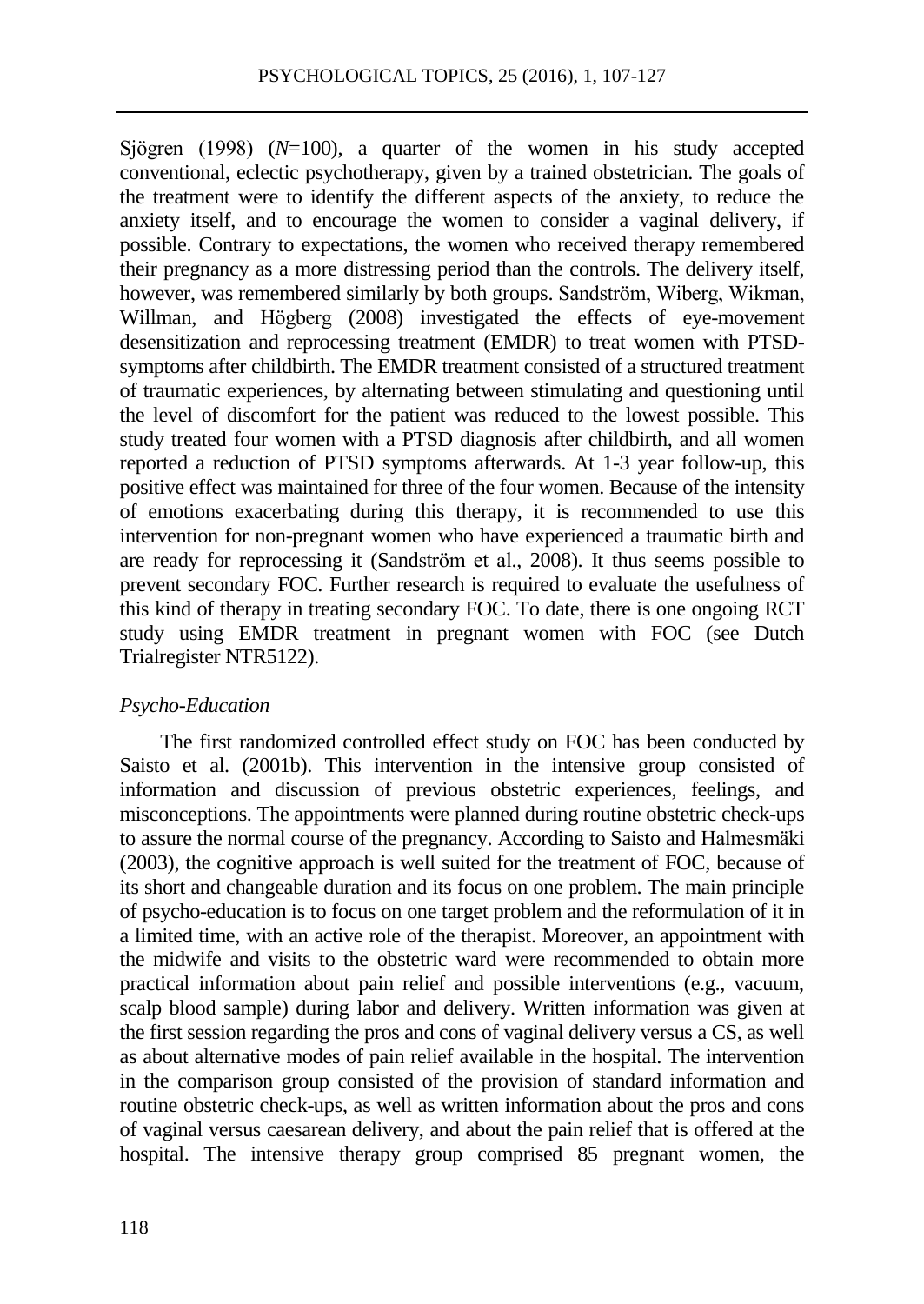Sjögren (1998) (*N*=100), a quarter of the women in his study accepted conventional, eclectic psychotherapy, given by a trained obstetrician. The goals of the treatment were to identify the different aspects of the anxiety, to reduce the anxiety itself, and to encourage the women to consider a vaginal delivery, if possible. Contrary to expectations, the women who received therapy remembered their pregnancy as a more distressing period than the controls. The delivery itself, however, was remembered similarly by both groups. Sandström, Wiberg, Wikman, Willman, and Högberg (2008) investigated the effects of eye-movement desensitization and reprocessing treatment (EMDR) to treat women with PTSDsymptoms after childbirth. The EMDR treatment consisted of a structured treatment of traumatic experiences, by alternating between stimulating and questioning until the level of discomfort for the patient was reduced to the lowest possible. This study treated four women with a PTSD diagnosis after childbirth, and all women reported a reduction of PTSD symptoms afterwards. At 1-3 year follow-up, this positive effect was maintained for three of the four women. Because of the intensity of emotions exacerbating during this therapy, it is recommended to use this intervention for non-pregnant women who have experienced a traumatic birth and are ready for reprocessing it (Sandström et al., 2008). It thus seems possible to prevent secondary FOC. Further research is required to evaluate the usefulness of this kind of therapy in treating secondary FOC. To date, there is one ongoing RCT study using EMDR treatment in pregnant women with FOC (see Dutch Trialregister NTR5122).

### *Psycho-Education*

The first randomized controlled effect study on FOC has been conducted by Saisto et al. (2001b). This intervention in the intensive group consisted of information and discussion of previous obstetric experiences, feelings, and misconceptions. The appointments were planned during routine obstetric check-ups to assure the normal course of the pregnancy. According to Saisto and Halmesmäki (2003), the cognitive approach is well suited for the treatment of FOC, because of its short and changeable duration and its focus on one problem. The main principle of psycho-education is to focus on one target problem and the reformulation of it in a limited time, with an active role of the therapist. Moreover, an appointment with the midwife and visits to the obstetric ward were recommended to obtain more practical information about pain relief and possible interventions (e.g., vacuum, scalp blood sample) during labor and delivery. Written information was given at the first session regarding the pros and cons of vaginal delivery versus a CS, as well as about alternative modes of pain relief available in the hospital. The intervention in the comparison group consisted of the provision of standard information and routine obstetric check-ups, as well as written information about the pros and cons of vaginal versus caesarean delivery, and about the pain relief that is offered at the hospital. The intensive therapy group comprised 85 pregnant women, the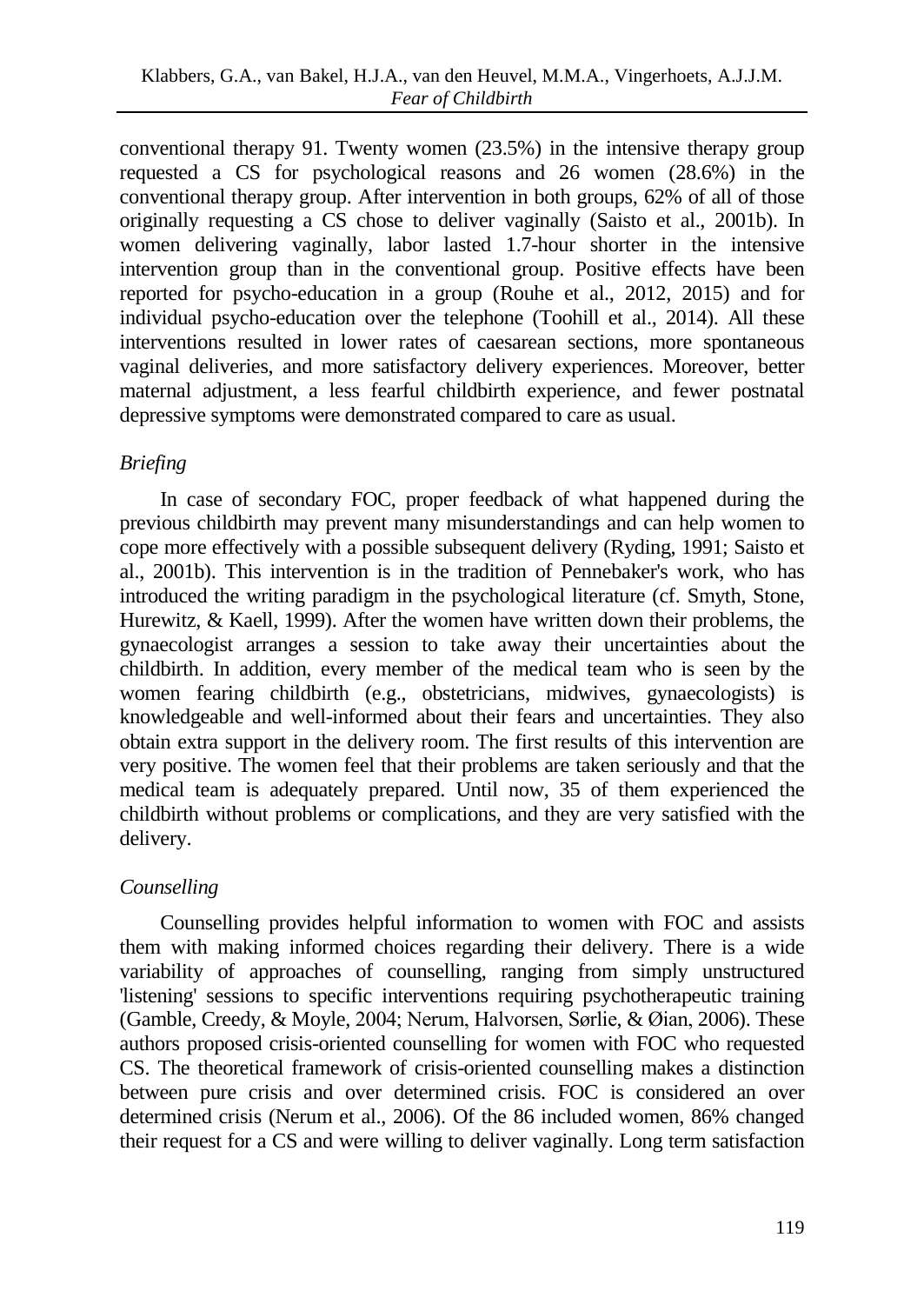conventional therapy 91. Twenty women (23.5%) in the intensive therapy group requested a CS for psychological reasons and 26 women (28.6%) in the conventional therapy group. After intervention in both groups, 62% of all of those originally requesting a CS chose to deliver vaginally (Saisto et al., 2001b). In women delivering vaginally, labor lasted 1.7-hour shorter in the intensive intervention group than in the conventional group. Positive effects have been reported for psycho-education in a group (Rouhe et al., 2012, 2015) and for individual psycho-education over the telephone (Toohill et al., 2014). All these interventions resulted in lower rates of caesarean sections, more spontaneous vaginal deliveries, and more satisfactory delivery experiences. Moreover, better maternal adjustment, a less fearful childbirth experience, and fewer postnatal depressive symptoms were demonstrated compared to care as usual.

# *Briefing*

In case of secondary FOC, proper feedback of what happened during the previous childbirth may prevent many misunderstandings and can help women to cope more effectively with a possible subsequent delivery (Ryding, 1991; Saisto et al., 2001b). This intervention is in the tradition of Pennebaker's work, who has introduced the writing paradigm in the psychological literature (cf. Smyth, Stone, Hurewitz, & Kaell, 1999). After the women have written down their problems, the gynaecologist arranges a session to take away their uncertainties about the childbirth. In addition, every member of the medical team who is seen by the women fearing childbirth (e.g., obstetricians, midwives, gynaecologists) is knowledgeable and well-informed about their fears and uncertainties. They also obtain extra support in the delivery room. The first results of this intervention are very positive. The women feel that their problems are taken seriously and that the medical team is adequately prepared. Until now, 35 of them experienced the childbirth without problems or complications, and they are very satisfied with the delivery.

# *Counselling*

Counselling provides helpful information to women with FOC and assists them with making informed choices regarding their delivery. There is a wide variability of approaches of counselling, ranging from simply unstructured 'listening' sessions to specific interventions requiring psychotherapeutic training (Gamble, Creedy, & Moyle, 2004; Nerum, Halvorsen, Sørlie, & Øian, 2006). These authors proposed crisis-oriented counselling for women with FOC who requested CS. The theoretical framework of crisis-oriented counselling makes a distinction between pure crisis and over determined crisis. FOC is considered an over determined crisis (Nerum et al., 2006). Of the 86 included women, 86% changed their request for a CS and were willing to deliver vaginally. Long term satisfaction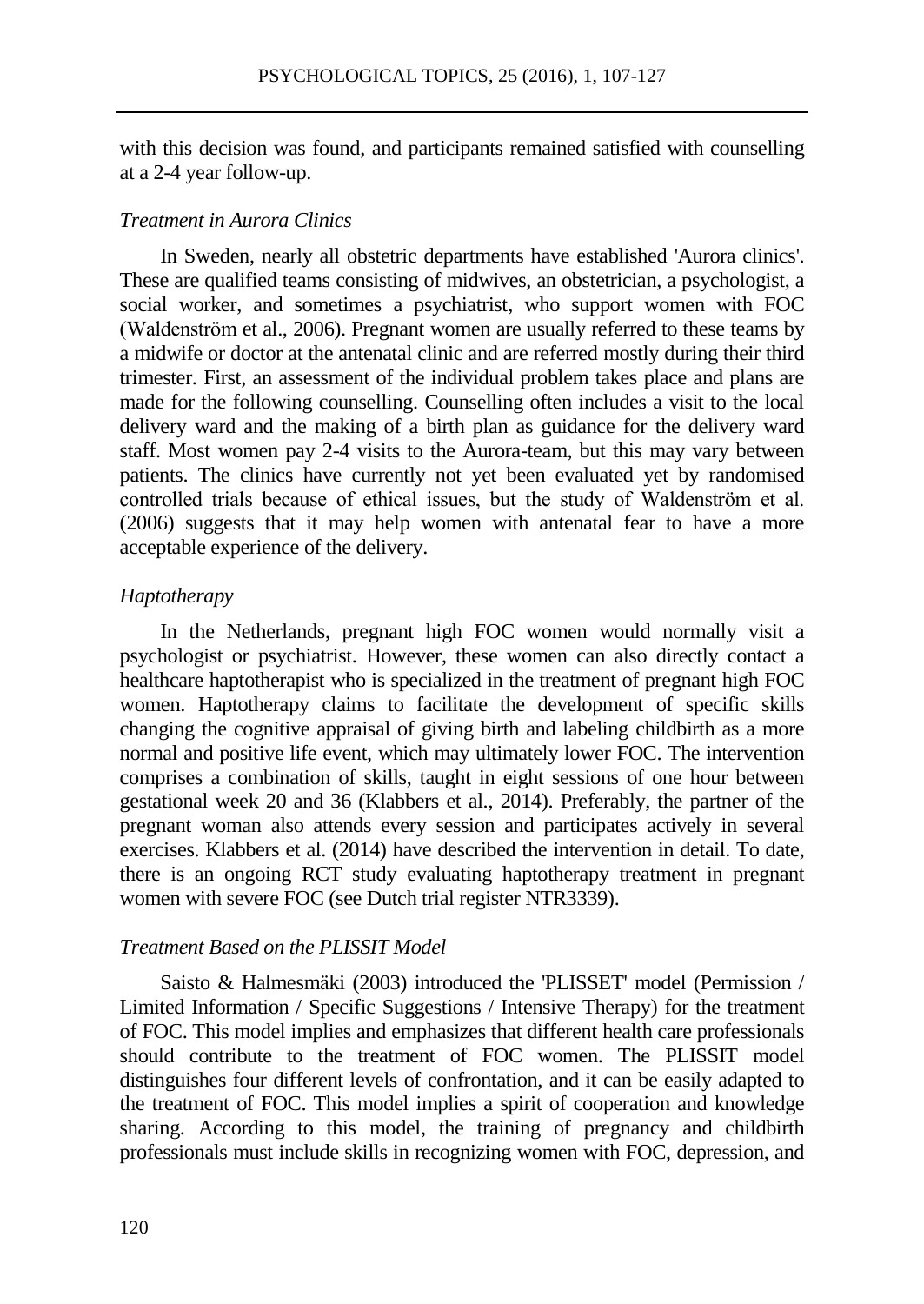with this decision was found, and participants remained satisfied with counselling at a 2-4 year follow-up.

#### *Treatment in Aurora Clinics*

In Sweden, nearly all obstetric departments have established 'Aurora clinics'. These are qualified teams consisting of midwives, an obstetrician, a psychologist, a social worker, and sometimes a psychiatrist, who support women with FOC (Waldenström et al., 2006). Pregnant women are usually referred to these teams by a midwife or doctor at the antenatal clinic and are referred mostly during their third trimester. First, an assessment of the individual problem takes place and plans are made for the following counselling. Counselling often includes a visit to the local delivery ward and the making of a birth plan as guidance for the delivery ward staff. Most women pay 2-4 visits to the Aurora-team, but this may vary between patients. The clinics have currently not yet been evaluated yet by randomised controlled trials because of ethical issues, but the study of Waldenström et al. (2006) suggests that it may help women with antenatal fear to have a more acceptable experience of the delivery.

#### *Haptotherapy*

In the Netherlands, pregnant high FOC women would normally visit a psychologist or psychiatrist. However, these women can also directly contact a healthcare haptotherapist who is specialized in the treatment of pregnant high FOC women. Haptotherapy claims to facilitate the development of specific skills changing the cognitive appraisal of giving birth and labeling childbirth as a more normal and positive life event, which may ultimately lower FOC. The intervention comprises a combination of skills, taught in eight sessions of one hour between gestational week 20 and 36 (Klabbers et al., 2014). Preferably, the partner of the pregnant woman also attends every session and participates actively in several exercises. Klabbers et al. (2014) have described the intervention in detail. To date, there is an ongoing RCT study evaluating haptotherapy treatment in pregnant women with severe FOC (see Dutch trial register NTR3339).

#### *Treatment Based on the PLISSIT Model*

Saisto & Halmesmäki (2003) introduced the 'PLISSET' model (Permission / Limited Information / Specific Suggestions / Intensive Therapy) for the treatment of FOC. This model implies and emphasizes that different health care professionals should contribute to the treatment of FOC women. The PLISSIT model distinguishes four different levels of confrontation, and it can be easily adapted to the treatment of FOC. This model implies a spirit of cooperation and knowledge sharing. According to this model, the training of pregnancy and childbirth professionals must include skills in recognizing women with FOC, depression, and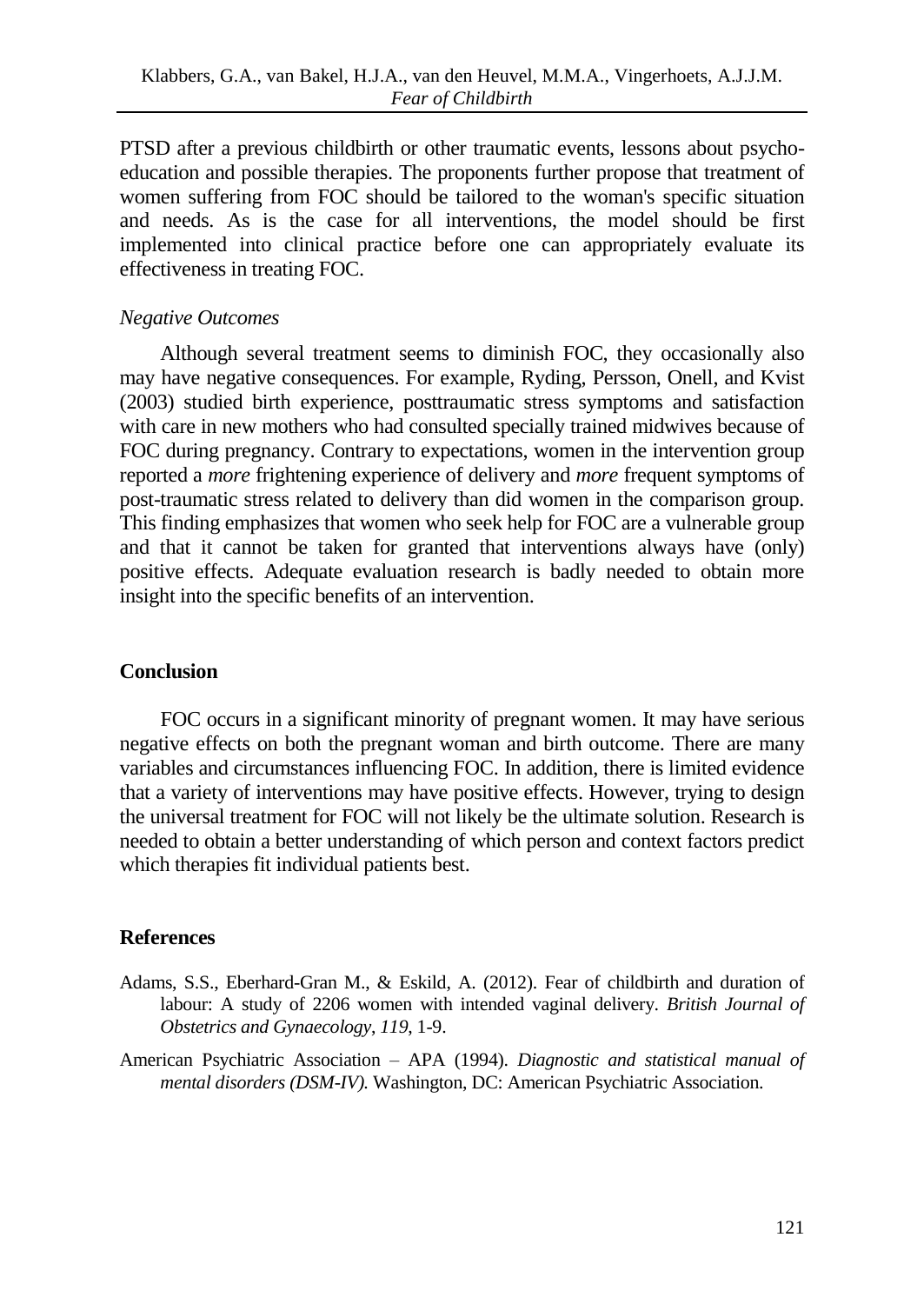PTSD after a previous childbirth or other traumatic events, lessons about psychoeducation and possible therapies. The proponents further propose that treatment of women suffering from FOC should be tailored to the woman's specific situation and needs. As is the case for all interventions, the model should be first implemented into clinical practice before one can appropriately evaluate its effectiveness in treating FOC.

### *Negative Outcomes*

Although several treatment seems to diminish FOC, they occasionally also may have negative consequences. For example, Ryding, Persson, Onell, and Kvist (2003) studied birth experience, posttraumatic stress symptoms and satisfaction with care in new mothers who had consulted specially trained midwives because of FOC during pregnancy. Contrary to expectations, women in the intervention group reported a *more* frightening experience of delivery and *more* frequent symptoms of post-traumatic stress related to delivery than did women in the comparison group. This finding emphasizes that women who seek help for FOC are a vulnerable group and that it cannot be taken for granted that interventions always have (only) positive effects. Adequate evaluation research is badly needed to obtain more insight into the specific benefits of an intervention.

### **Conclusion**

FOC occurs in a significant minority of pregnant women. It may have serious negative effects on both the pregnant woman and birth outcome. There are many variables and circumstances influencing FOC. In addition, there is limited evidence that a variety of interventions may have positive effects. However, trying to design the universal treatment for FOC will not likely be the ultimate solution. Research is needed to obtain a better understanding of which person and context factors predict which therapies fit individual patients best.

# **References**

- Adams, S.S., Eberhard-Gran M., & Eskild, A. (2012). Fear of childbirth and duration of labour: A study of 2206 women with intended vaginal delivery. *British Journal of Obstetrics and Gynaecology*, *119*, 1-9.
- American Psychiatric Association APA (1994). *Diagnostic and statistical manual of mental disorders (DSM-IV).* Washington, DC: American Psychiatric Association.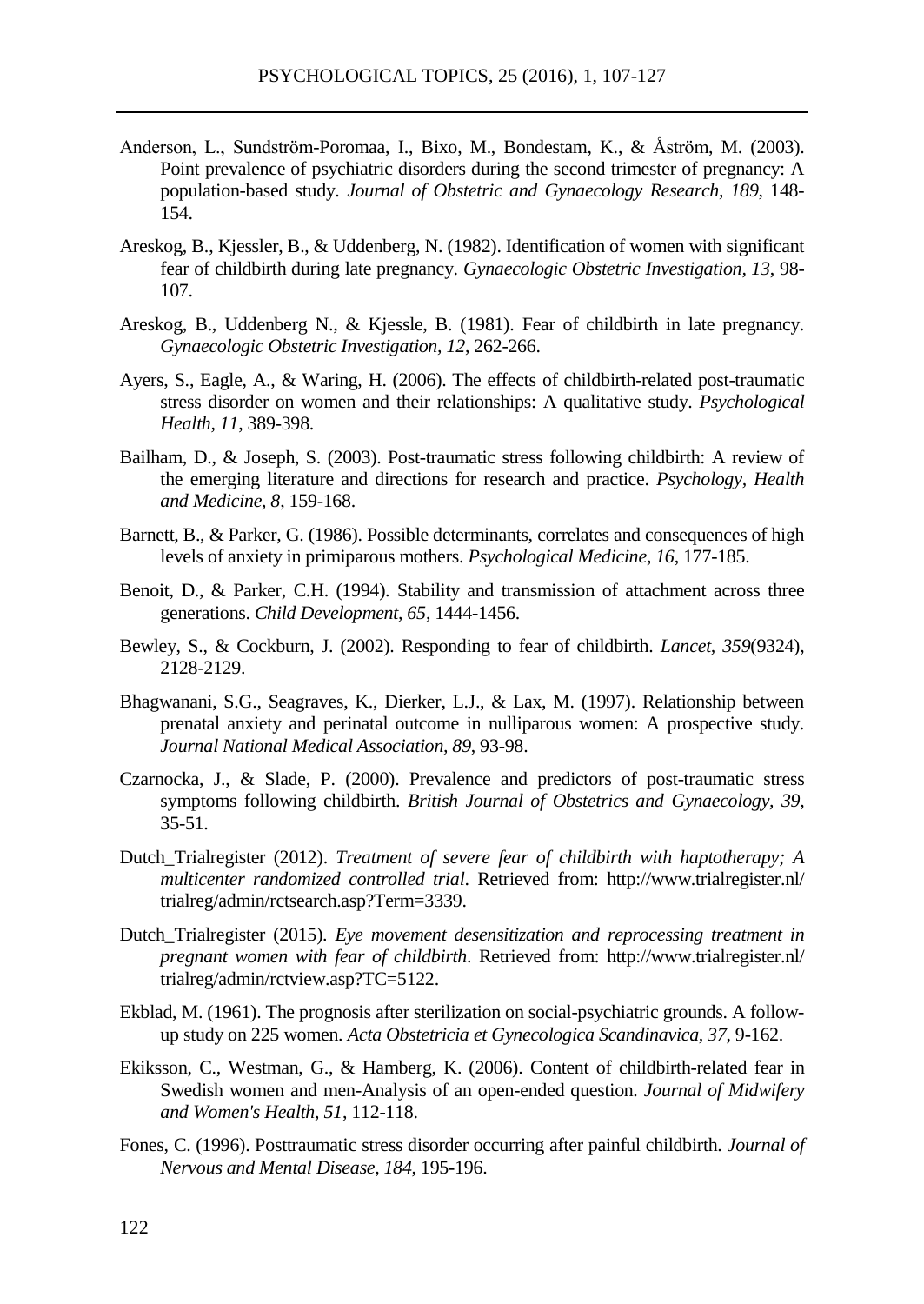- Anderson, L., Sundström-Poromaa, I., Bixo, M., Bondestam, K., & Åström, M. (2003). Point prevalence of psychiatric disorders during the second trimester of pregnancy: A population-based study. *Journal of Obstetric and Gynaecology Research, 189*, 148- 154.
- Areskog, B., Kjessler, B., & Uddenberg, N. (1982). Identification of women with significant fear of childbirth during late pregnancy. *Gynaecologic Obstetric Investigation, 13*, 98- 107.
- Areskog, B., Uddenberg N., & Kjessle, B. (1981). Fear of childbirth in late pregnancy. *Gynaecologic Obstetric Investigation, 12*, 262-266.
- Ayers, S., Eagle, A., & Waring, H. (2006). The effects of childbirth-related post-traumatic stress disorder on women and their relationships: A qualitative study. *Psychological Health, 11*, 389-398.
- Bailham, D., & Joseph, S. (2003). Post-traumatic stress following childbirth: A review of the emerging literature and directions for research and practice. *Psychology, Health and Medicine, 8*, 159-168.
- Barnett, B., & Parker, G. (1986). Possible determinants, correlates and consequences of high levels of anxiety in primiparous mothers. *Psychological Medicine, 16*, 177-185.
- Benoit, D., & Parker, C.H. (1994). Stability and transmission of attachment across three generations. *Child Development, 65*, 1444-1456.
- Bewley, S., & Cockburn, J. (2002). Responding to fear of childbirth. *Lancet, 359*(9324), 2128-2129.
- Bhagwanani, S.G., Seagraves, K., Dierker, L.J., & Lax, M. (1997). Relationship between prenatal anxiety and perinatal outcome in nulliparous women: A prospective study. *Journal National Medical Association, 89*, 93-98.
- Czarnocka, J., & Slade, P. (2000). Prevalence and predictors of post-traumatic stress symptoms following childbirth. *British Journal of Obstetrics and Gynaecology, 39*, 35-51.
- Dutch\_Trialregister (2012). *Treatment of severe fear of childbirth with haptotherapy; A multicenter randomized controlled trial*. Retrieved from: http://www.trialregister.nl/ trialreg/admin/rctsearch.asp?Term=3339.
- Dutch\_Trialregister (2015). *Eye movement desensitization and reprocessing treatment in pregnant women with fear of childbirth*. Retrieved from: http://www.trialregister.nl/ trialreg/admin/rctview.asp?TC=5122.
- Ekblad, M. (1961). The prognosis after sterilization on social-psychiatric grounds. A followup study on 225 women. *Acta Obstetricia et Gynecologica Scandinavica, 37*, 9-162.
- Ekiksson, C., Westman, G., & Hamberg, K. (2006). Content of childbirth-related fear in Swedish women and men-Analysis of an open-ended question. *Journal of Midwifery and Women's Health, 51*, 112-118.
- Fones, C. (1996). Posttraumatic stress disorder occurring after painful childbirth. *Journal of Nervous and Mental Disease, 184*, 195-196.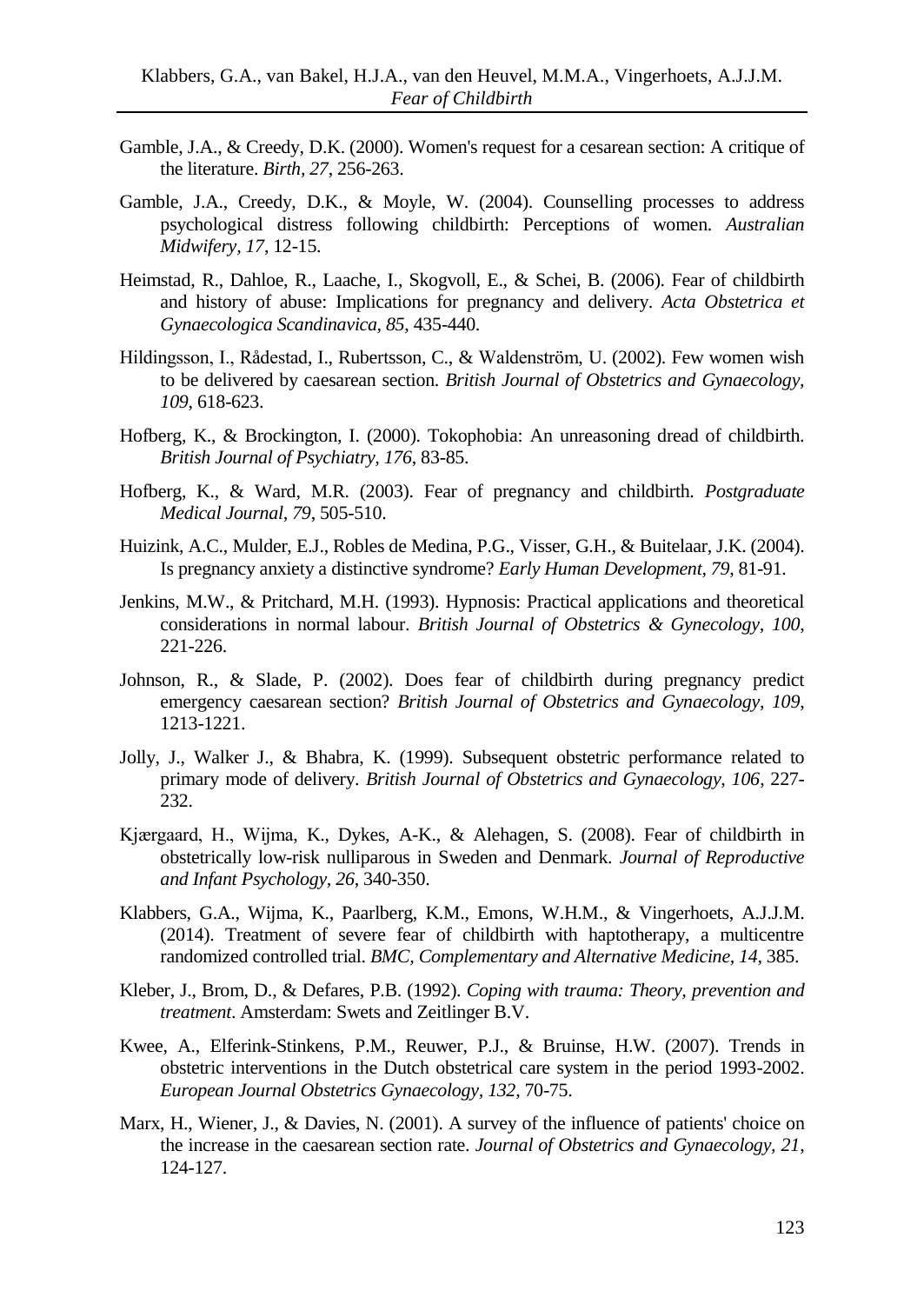- Gamble, J.A., & Creedy, D.K. (2000). Women's request for a cesarean section: A critique of the literature. *Birth, 27*, 256-263.
- Gamble, J.A., Creedy, D.K., & Moyle, W. (2004). Counselling processes to address psychological distress following childbirth: Perceptions of women. *Australian Midwifery, 17*, 12-15.
- Heimstad, R., Dahloe, R., Laache, I., Skogvoll, E., & Schei, B. (2006). Fear of childbirth and history of abuse: Implications for pregnancy and delivery. *Acta Obstetrica et Gynaecologica Scandinavica, 85*, 435-440.
- Hildingsson, I., Rådestad, I., Rubertsson, C., & Waldenström, U. (2002). Few women wish to be delivered by caesarean section. *British Journal of Obstetrics and Gynaecology, 109*, 618-623.
- Hofberg, K., & Brockington, I. (2000). Tokophobia: An unreasoning dread of childbirth. *British Journal of Psychiatry, 176*, 83-85.
- Hofberg, K., & Ward, M.R. (2003). Fear of pregnancy and childbirth. *Postgraduate Medical Journal, 79*, 505-510.
- Huizink, A.C., Mulder, E.J., Robles de Medina, P.G., Visser, G.H., & Buitelaar, J.K. (2004). Is pregnancy anxiety a distinctive syndrome? *Early Human Development, 79*, 81-91.
- Jenkins, M.W., & Pritchard, M.H. (1993). Hypnosis: Practical applications and theoretical considerations in normal labour. *British Journal of Obstetrics & Gynecology, 100*, 221-226.
- Johnson, R., & Slade, P. (2002). Does fear of childbirth during pregnancy predict emergency caesarean section? *British Journal of Obstetrics and Gynaecology, 109*, 1213-1221.
- Jolly, J., Walker J., & Bhabra, K. (1999). Subsequent obstetric performance related to primary mode of delivery. *British Journal of Obstetrics and Gynaecology, 106*, 227- 232.
- Kjærgaard, H., Wijma, K., Dykes, A-K., & Alehagen, S. (2008). Fear of childbirth in obstetrically low-risk nulliparous in Sweden and Denmark. *Journal of Reproductive and Infant Psychology, 26*, 340-350.
- Klabbers, G.A., Wijma, K., Paarlberg, K.M., Emons, W.H.M., & Vingerhoets, A.J.J.M. (2014). Treatment of severe fear of childbirth with haptotherapy, a multicentre randomized controlled trial. *BMC, Complementary and Alternative Medicine, 14*, 385.
- Kleber, J., Brom, D., & Defares, P.B. (1992). *Coping with trauma: Theory, prevention and treatment*. Amsterdam: Swets and Zeitlinger B.V.
- Kwee, A., Elferink-Stinkens, P.M., Reuwer, P.J., & Bruinse, H.W. (2007). Trends in obstetric interventions in the Dutch obstetrical care system in the period 1993-2002. *European Journal Obstetrics Gynaecology, 132*, 70-75.
- Marx, H., Wiener, J., & Davies, N. (2001). A survey of the influence of patients' choice on the increase in the caesarean section rate. *Journal of Obstetrics and Gynaecology, 21*, 124-127.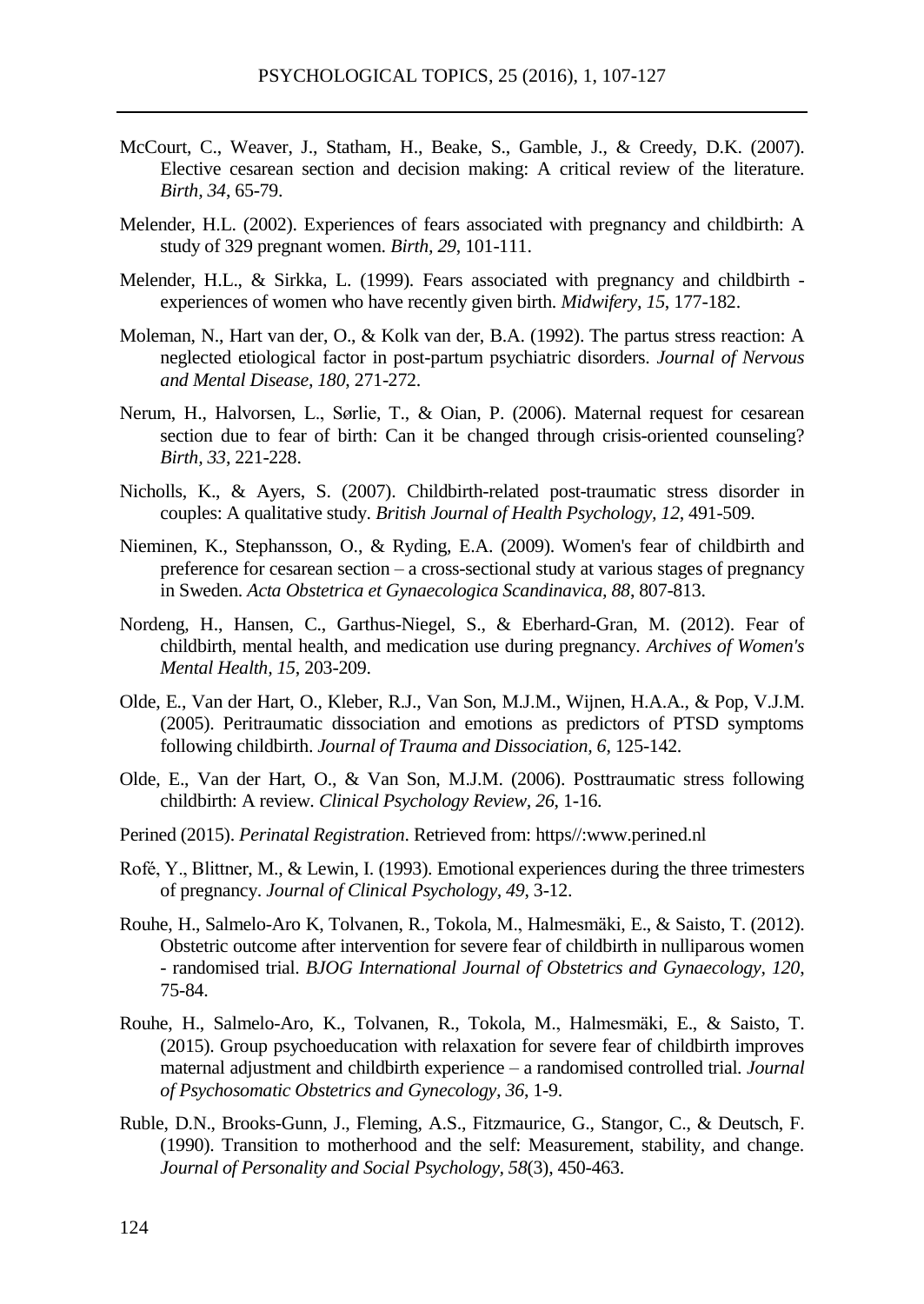- McCourt, C., Weaver, J., Statham, H., Beake, S., Gamble, J., & Creedy, D.K. (2007). Elective cesarean section and decision making: A critical review of the literature. *Birth, 34*, 65-79.
- Melender, H.L. (2002). Experiences of fears associated with pregnancy and childbirth: A study of 329 pregnant women. *Birth, 29*, 101-111.
- Melender, H.L., & Sirkka, L. (1999). Fears associated with pregnancy and childbirth experiences of women who have recently given birth. *Midwifery, 15*, 177-182.
- Moleman, N., Hart van der, O., & Kolk van der, B.A. (1992). The partus stress reaction: A neglected etiological factor in post-partum psychiatric disorders. *Journal of Nervous and Mental Disease, 180*, 271-272.
- Nerum, H., Halvorsen, L., Sørlie, T., & Oian, P. (2006). Maternal request for cesarean section due to fear of birth: Can it be changed through crisis-oriented counseling? *Birth, 33*, 221-228.
- Nicholls, K., & Ayers, S. (2007). Childbirth-related post-traumatic stress disorder in couples: A qualitative study. *British Journal of Health Psychology, 12*, 491-509.
- Nieminen, K., Stephansson, O., & Ryding, E.A. (2009). Women's fear of childbirth and preference for cesarean section – a cross-sectional study at various stages of pregnancy in Sweden. *Acta Obstetrica et Gynaecologica Scandinavica, 88*, 807-813.
- Nordeng, H., Hansen, C., Garthus-Niegel, S., & Eberhard-Gran, M. (2012). Fear of childbirth, mental health, and medication use during pregnancy. *Archives of Women's Mental Health, 15*, 203-209.
- Olde, E., Van der Hart, O., Kleber, R.J., Van Son, M.J.M., Wijnen, H.A.A., & Pop, V.J.M. (2005). Peritraumatic dissociation and emotions as predictors of PTSD symptoms following childbirth. *Journal of Trauma and Dissociation, 6*, 125-142.
- Olde, E., Van der Hart, O., & Van Son, M.J.M. (2006). Posttraumatic stress following childbirth: A review. *Clinical Psychology Review, 26*, 1-16.
- Perined (2015). *Perinatal Registration*. Retrieved from: https//:www.perined.nl
- Rofé, Y., Blittner, M., & Lewin, I. (1993). Emotional experiences during the three trimesters of pregnancy. *Journal of Clinical Psychology, 49*, 3-12.
- Rouhe, H., Salmelo-Aro K, Tolvanen, R., Tokola, M., Halmesmäki, E., & Saisto, T. (2012). Obstetric outcome after intervention for severe fear of childbirth in nulliparous women - randomised trial. *BJOG International Journal of Obstetrics and Gynaecology, 120*, 75-84.
- Rouhe, H., Salmelo-Aro, K., Tolvanen, R., Tokola, M., Halmesmäki, E., & Saisto, T. (2015). Group psychoeducation with relaxation for severe fear of childbirth improves maternal adjustment and childbirth experience – a randomised controlled trial. *Journal of Psychosomatic Obstetrics and Gynecology, 36*, 1-9.
- Ruble, D.N., Brooks-Gunn, J., Fleming, A.S., Fitzmaurice, G., Stangor, C., & Deutsch, F. (1990). Transition to motherhood and the self: Measurement, stability, and change. *Journal of Personality and Social Psychology, 58*(3), 450-463.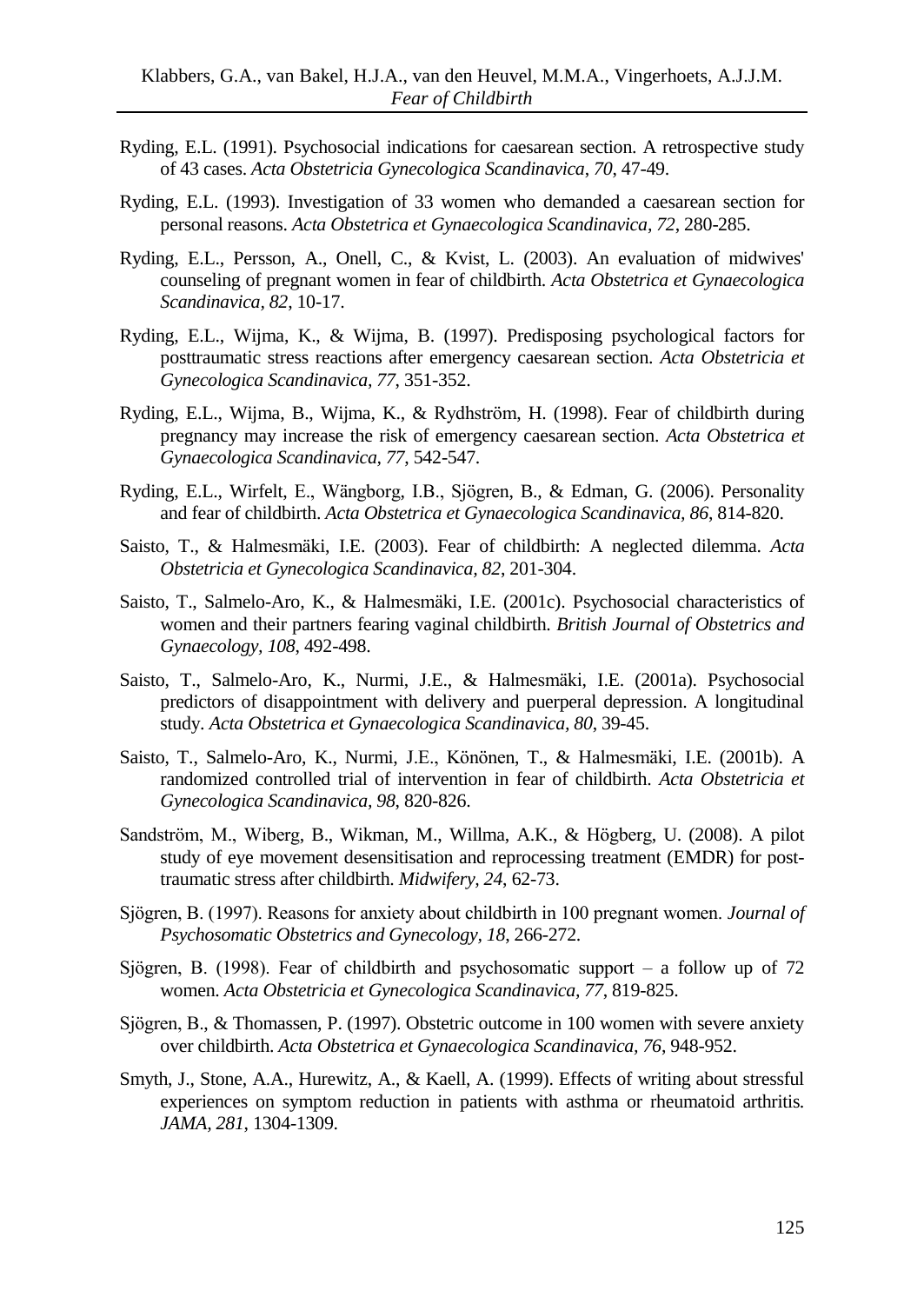- Ryding, E.L. (1991). Psychosocial indications for caesarean section. A retrospective study of 43 cases. *Acta Obstetricia Gynecologica Scandinavica*, *70*, 47-49.
- Ryding, E.L. (1993). Investigation of 33 women who demanded a caesarean section for personal reasons. *Acta Obstetrica et Gynaecologica Scandinavica, 72*, 280-285.
- Ryding, E.L., Persson, A., Onell, C., & Kvist, L. (2003). An evaluation of midwives' counseling of pregnant women in fear of childbirth. *Acta Obstetrica et Gynaecologica Scandinavica, 82*, 10-17.
- Ryding, E.L., Wijma, K., & Wijma, B. (1997). Predisposing psychological factors for posttraumatic stress reactions after emergency caesarean section. *Acta Obstetricia et Gynecologica Scandinavica, 77*, 351-352.
- Ryding, E.L., Wijma, B., Wijma, K., & Rydhström, H. (1998). Fear of childbirth during pregnancy may increase the risk of emergency caesarean section. *Acta Obstetrica et Gynaecologica Scandinavica, 77*, 542-547.
- Ryding, E.L., Wirfelt, E., Wängborg, I.B., Sjögren, B., & Edman, G. (2006). Personality and fear of childbirth. *Acta Obstetrica et Gynaecologica Scandinavica, 86*, 814-820.
- Saisto, T., & Halmesmäki, I.E. (2003). Fear of childbirth: A neglected dilemma. *Acta Obstetricia et Gynecologica Scandinavica, 82*, 201-304.
- Saisto, T., Salmelo-Aro, K., & Halmesmäki, I.E. (2001c). Psychosocial characteristics of women and their partners fearing vaginal childbirth. *British Journal of Obstetrics and Gynaecology, 108*, 492-498.
- Saisto, T., Salmelo-Aro, K., Nurmi, J.E., & Halmesmäki, I.E. (2001a). Psychosocial predictors of disappointment with delivery and puerperal depression. A longitudinal study. *Acta Obstetrica et Gynaecologica Scandinavica, 80*, 39-45.
- Saisto, T., Salmelo-Aro, K., Nurmi, J.E., Könönen, T., & Halmesmäki, I.E. (2001b). A randomized controlled trial of intervention in fear of childbirth. *Acta Obstetricia et Gynecologica Scandinavica, 98*, 820-826.
- Sandström, M., Wiberg, B., Wikman, M., Willma, A.K., & Högberg, U. (2008). A pilot study of eye movement desensitisation and reprocessing treatment (EMDR) for posttraumatic stress after childbirth. *Midwifery, 24*, 62-73.
- Sjögren, B. (1997). Reasons for anxiety about childbirth in 100 pregnant women. *Journal of Psychosomatic Obstetrics and Gynecology, 18*, 266-272.
- Sjögren, B. (1998). Fear of childbirth and psychosomatic support a follow up of 72 women. *Acta Obstetricia et Gynecologica Scandinavica, 77*, 819-825.
- Sjögren, B., & Thomassen, P. (1997). Obstetric outcome in 100 women with severe anxiety over childbirth. *Acta Obstetrica et Gynaecologica Scandinavica, 76*, 948-952.
- Smyth, J., Stone, A.A., Hurewitz, A., & Kaell, A. (1999). Effects of writing about stressful experiences on symptom reduction in patients with asthma or rheumatoid arthritis. *JAMA, 281*, 1304-1309.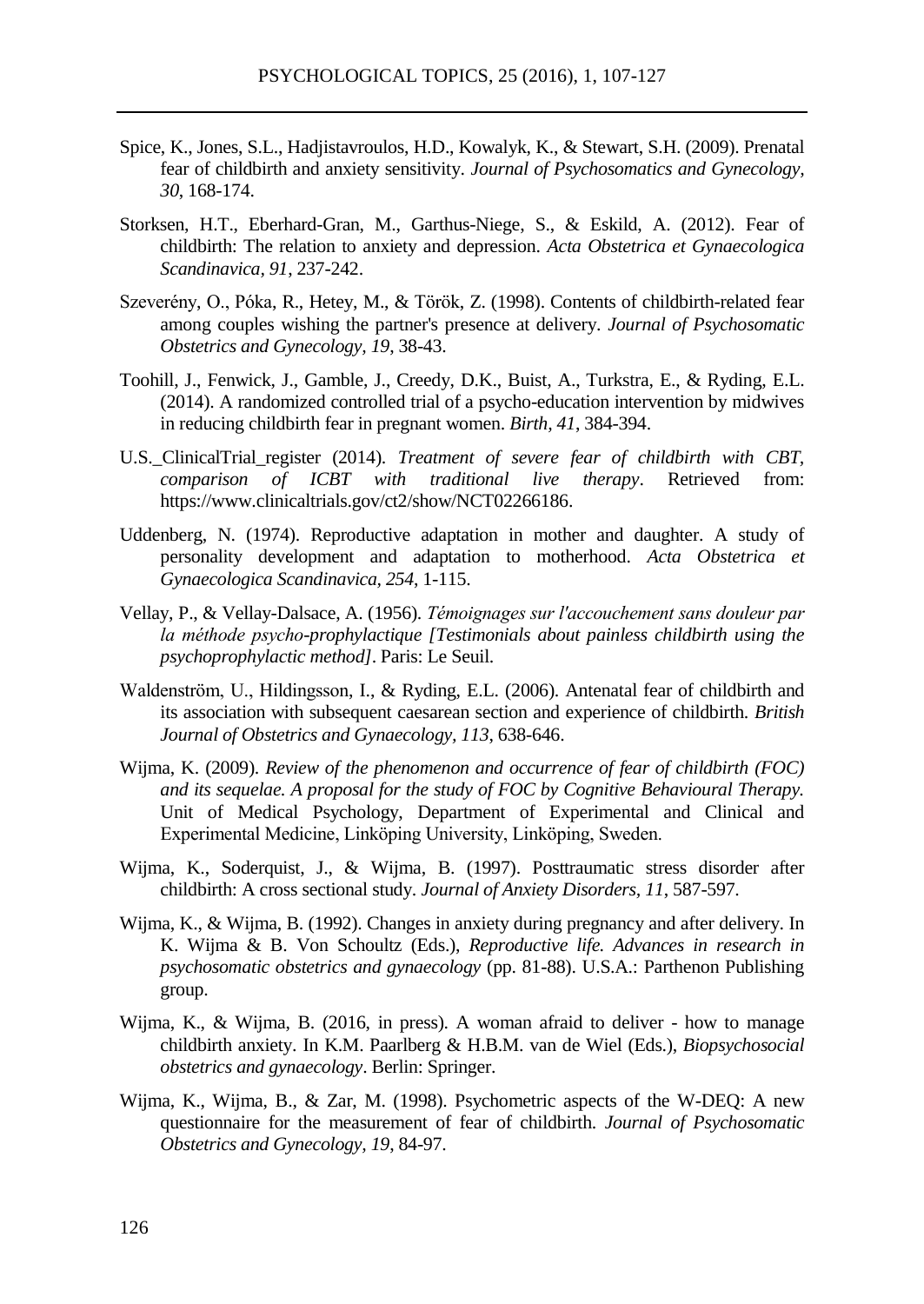- Spice, K., Jones, S.L., Hadjistavroulos, H.D., Kowalyk, K., & Stewart, S.H. (2009). Prenatal fear of childbirth and anxiety sensitivity. *Journal of Psychosomatics and Gynecology, 30*, 168-174.
- Storksen, H.T., Eberhard-Gran, M., Garthus-Niege, S., & Eskild, A. (2012). Fear of childbirth: The relation to anxiety and depression. *Acta Obstetrica et Gynaecologica Scandinavica, 91*, 237-242.
- Szeverény, O., Póka, R., Hetey, M., & Török, Z. (1998). Contents of childbirth-related fear among couples wishing the partner's presence at delivery. *Journal of Psychosomatic Obstetrics and Gynecology, 19*, 38-43.
- Toohill, J., Fenwick, J., Gamble, J., Creedy, D.K., Buist, A., Turkstra, E., & Ryding, E.L. (2014). A randomized controlled trial of a psycho-education intervention by midwives in reducing childbirth fear in pregnant women. *Birth, 41*, 384-394.
- U.S.\_ClinicalTrial\_register (2014). *Treatment of severe fear of childbirth with CBT, comparison of ICBT with traditional live therapy*. Retrieved from: https://www.clinicaltrials.gov/ct2/show/NCT02266186.
- Uddenberg, N. (1974). Reproductive adaptation in mother and daughter. A study of personality development and adaptation to motherhood. *Acta Obstetrica et Gynaecologica Scandinavica, 254*, 1-115.
- Vellay, P., & Vellay-Dalsace, A. (1956). *Témoignages sur l'accouchement sans douleur par la méthode psycho-prophylactique [Testimonials about painless childbirth using the psychoprophylactic method]*. Paris: Le Seuil.
- Waldenström, U., Hildingsson, I., & Ryding, E.L. (2006). Antenatal fear of childbirth and its association with subsequent caesarean section and experience of childbirth. *British Journal of Obstetrics and Gynaecology, 113*, 638-646.
- Wijma, K. (2009). *Review of the phenomenon and occurrence of fear of childbirth (FOC) and its sequelae. A proposal for the study of FOC by Cognitive Behavioural Therapy.* Unit of Medical Psychology, Department of Experimental and Clinical and Experimental Medicine, Linköping University, Linköping, Sweden.
- Wijma, K., Soderquist, J., & Wijma, B. (1997). Posttraumatic stress disorder after childbirth: A cross sectional study. *Journal of Anxiety Disorders, 11*, 587-597.
- Wijma, K., & Wijma, B. (1992). Changes in anxiety during pregnancy and after delivery. In K. Wijma & B. Von Schoultz (Eds.), *Reproductive life. Advances in research in psychosomatic obstetrics and gynaecology* (pp. 81-88). U.S.A.: Parthenon Publishing group.
- Wijma, K., & Wijma, B. (2016, in press). A woman afraid to deliver how to manage childbirth anxiety. In K.M. Paarlberg & H.B.M. van de Wiel (Eds.), *Biopsychosocial obstetrics and gynaecology*. Berlin: Springer.
- Wijma, K., Wijma, B., & Zar, M. (1998). Psychometric aspects of the W-DEQ: A new questionnaire for the measurement of fear of childbirth. *Journal of Psychosomatic Obstetrics and Gynecology, 19*, 84-97.